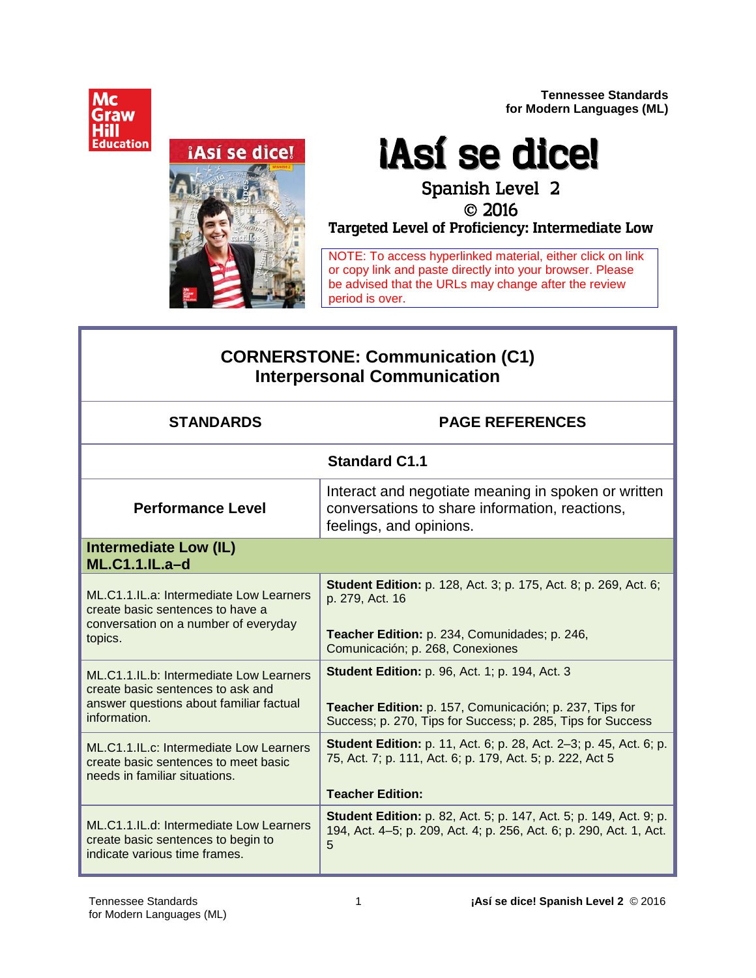**Tennessee Standards for Modern Languages (ML)**





# ¡Así se dice! Spanish Level 2

# 2016 **Targeted Level of Proficiency: Intermediate Low**

NOTE: To access hyperlinked material, either click on link or copy link and paste directly into your browser. Please be advised that the URLs may change after the review period is over.

# **CORNERSTONE: Communication (C1) Interpersonal Communication**

| <b>STANDARDS</b>                                                                                                                        | <b>PAGE REFERENCES</b>                                                                                                                                                          |
|-----------------------------------------------------------------------------------------------------------------------------------------|---------------------------------------------------------------------------------------------------------------------------------------------------------------------------------|
|                                                                                                                                         | <b>Standard C1.1</b>                                                                                                                                                            |
| <b>Performance Level</b>                                                                                                                | Interact and negotiate meaning in spoken or written<br>conversations to share information, reactions,<br>feelings, and opinions.                                                |
| Intermediate Low (IL)<br><b>ML.C1.1.IL.a-d</b>                                                                                          |                                                                                                                                                                                 |
| ML.C1.1.IL.a: Intermediate Low Learners<br>create basic sentences to have a<br>conversation on a number of everyday<br>topics.          | <b>Student Edition:</b> p. 128, Act. 3; p. 175, Act. 8; p. 269, Act. 6;<br>p. 279, Act. 16<br>Teacher Edition: p. 234, Comunidades; p. 246,<br>Comunicación; p. 268, Conexiones |
| ML.C1.1.IL.b: Intermediate Low Learners<br>create basic sentences to ask and<br>answer questions about familiar factual<br>information. | <b>Student Edition: p. 96, Act. 1; p. 194, Act. 3</b><br>Teacher Edition: p. 157, Comunicación; p. 237, Tips for<br>Success; p. 270, Tips for Success; p. 285, Tips for Success |
| ML.C1.1.IL.c: Intermediate Low Learners<br>create basic sentences to meet basic<br>needs in familiar situations.                        | <b>Student Edition:</b> p. 11, Act. 6; p. 28, Act. 2-3; p. 45, Act. 6; p.<br>75, Act. 7; p. 111, Act. 6; p. 179, Act. 5; p. 222, Act 5<br><b>Teacher Edition:</b>               |
| ML.C1.1.IL.d: Intermediate Low Learners<br>create basic sentences to begin to<br>indicate various time frames.                          | <b>Student Edition:</b> p. 82, Act. 5; p. 147, Act. 5; p. 149, Act. 9; p.<br>194, Act. 4–5; p. 209, Act. 4; p. 256, Act. 6; p. 290, Act. 1, Act.<br>5                           |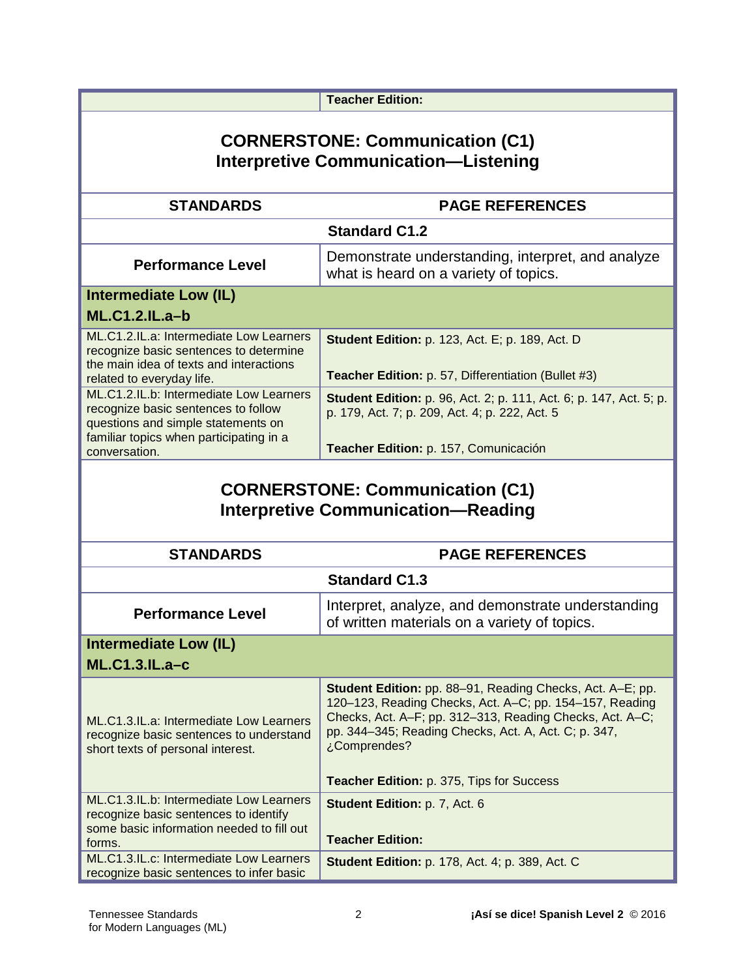|                                                                                                                                         | <b>Teacher Edition:</b>                                                                                                                                                                                                                                         |  |
|-----------------------------------------------------------------------------------------------------------------------------------------|-----------------------------------------------------------------------------------------------------------------------------------------------------------------------------------------------------------------------------------------------------------------|--|
|                                                                                                                                         |                                                                                                                                                                                                                                                                 |  |
| <b>CORNERSTONE: Communication (C1)</b><br><b>Interpretive Communication-Listening</b>                                                   |                                                                                                                                                                                                                                                                 |  |
| <b>STANDARDS</b>                                                                                                                        | <b>PAGE REFERENCES</b>                                                                                                                                                                                                                                          |  |
|                                                                                                                                         | <b>Standard C1.2</b>                                                                                                                                                                                                                                            |  |
| <b>Performance Level</b>                                                                                                                | Demonstrate understanding, interpret, and analyze<br>what is heard on a variety of topics.                                                                                                                                                                      |  |
| <b>Intermediate Low (IL)</b>                                                                                                            |                                                                                                                                                                                                                                                                 |  |
| <b>ML.C1.2.IL.a-b</b>                                                                                                                   |                                                                                                                                                                                                                                                                 |  |
| ML.C1.2.IL.a: Intermediate Low Learners<br>recognize basic sentences to determine<br>the main idea of texts and interactions            | <b>Student Edition: p. 123, Act. E; p. 189, Act. D</b>                                                                                                                                                                                                          |  |
| related to everyday life.                                                                                                               | Teacher Edition: p. 57, Differentiation (Bullet #3)                                                                                                                                                                                                             |  |
| ML.C1.2.IL.b: Intermediate Low Learners<br>recognize basic sentences to follow<br>questions and simple statements on                    | <b>Student Edition:</b> p. 96, Act. 2; p. 111, Act. 6; p. 147, Act. 5; p.<br>p. 179, Act. 7; p. 209, Act. 4; p. 222, Act. 5                                                                                                                                     |  |
| familiar topics when participating in a<br>conversation.                                                                                | Teacher Edition: p. 157, Comunicación                                                                                                                                                                                                                           |  |
| <b>CORNERSTONE: Communication (C1)</b><br><b>Interpretive Communication-Reading</b>                                                     |                                                                                                                                                                                                                                                                 |  |
| <b>STANDARDS</b>                                                                                                                        | <b>PAGE REFERENCES</b>                                                                                                                                                                                                                                          |  |
| <b>Standard C1.3</b>                                                                                                                    |                                                                                                                                                                                                                                                                 |  |
| <b>Performance Level</b>                                                                                                                | Interpret, analyze, and demonstrate understanding<br>of written materials on a variety of topics.                                                                                                                                                               |  |
| <b>Intermediate Low (IL)</b><br><b>ML.C1.3.IL.a-c</b>                                                                                   |                                                                                                                                                                                                                                                                 |  |
| ML.C1.3.IL.a: Intermediate Low Learners<br>recognize basic sentences to understand<br>short texts of personal interest.                 | <b>Student Edition:</b> pp. 88-91, Reading Checks, Act. A-E; pp.<br>120–123, Reading Checks, Act. A–C; pp. 154–157, Reading<br>Checks, Act. A-F; pp. 312-313, Reading Checks, Act. A-C;<br>pp. 344-345; Reading Checks, Act. A, Act. C; p. 347,<br>¿Comprendes? |  |
|                                                                                                                                         | Teacher Edition: p. 375, Tips for Success                                                                                                                                                                                                                       |  |
| ML.C1.3.IL.b: Intermediate Low Learners<br>recognize basic sentences to identify<br>some basic information needed to fill out<br>forms. | Student Edition: p. 7, Act. 6<br><b>Teacher Edition:</b>                                                                                                                                                                                                        |  |
| ML.C1.3.IL.c: Intermediate Low Learners<br>recognize basic sentences to infer basic                                                     | <b>Student Edition: p. 178, Act. 4; p. 389, Act. C</b>                                                                                                                                                                                                          |  |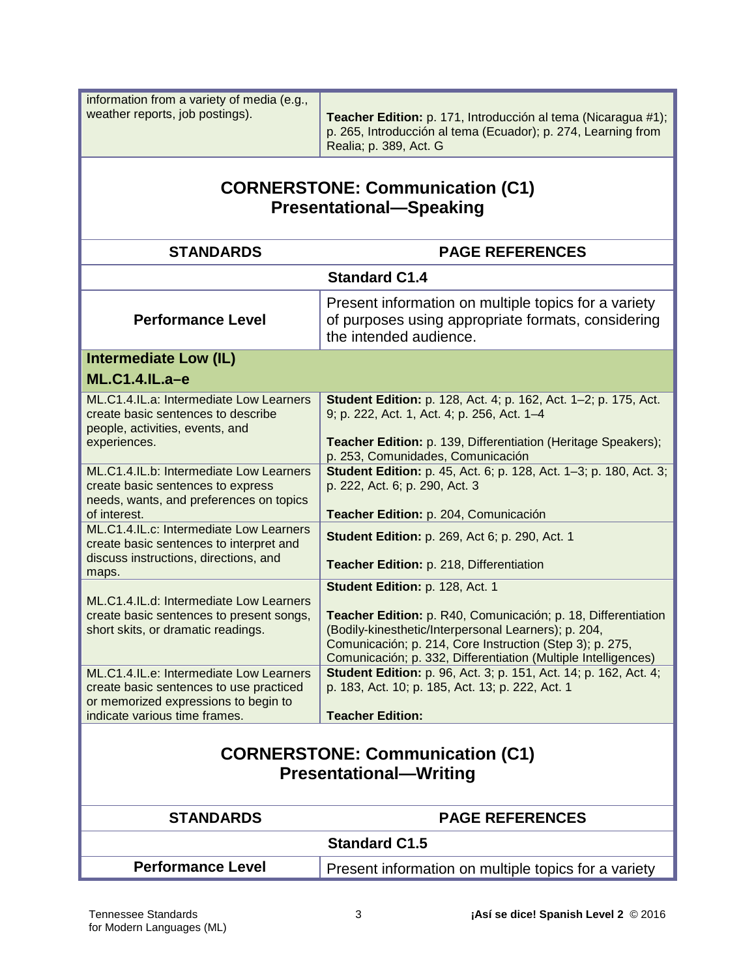| information from a variety of media (e.g.,<br>weather reports, job postings).                                                           | Teacher Edition: p. 171, Introducción al tema (Nicaragua #1);<br>p. 265, Introducción al tema (Ecuador); p. 274, Learning from<br>Realia; p. 389, Act. G                                                                                            |
|-----------------------------------------------------------------------------------------------------------------------------------------|-----------------------------------------------------------------------------------------------------------------------------------------------------------------------------------------------------------------------------------------------------|
| <b>CORNERSTONE: Communication (C1)</b><br><b>Presentational-Speaking</b>                                                                |                                                                                                                                                                                                                                                     |
| <b>STANDARDS</b>                                                                                                                        | <b>PAGE REFERENCES</b>                                                                                                                                                                                                                              |
|                                                                                                                                         | <b>Standard C1.4</b>                                                                                                                                                                                                                                |
| <b>Performance Level</b>                                                                                                                | Present information on multiple topics for a variety<br>of purposes using appropriate formats, considering<br>the intended audience.                                                                                                                |
| <b>Intermediate Low (IL)</b><br><b>ML.C1.4.IL.a-e</b>                                                                                   |                                                                                                                                                                                                                                                     |
| ML.C1.4.IL.a: Intermediate Low Learners<br>create basic sentences to describe<br>people, activities, events, and                        | <b>Student Edition:</b> p. 128, Act. 4; p. 162, Act. 1-2; p. 175, Act.<br>9; p. 222, Act. 1, Act. 4; p. 256, Act. 1-4                                                                                                                               |
| experiences.                                                                                                                            | Teacher Edition: p. 139, Differentiation (Heritage Speakers);<br>p. 253, Comunidades, Comunicación                                                                                                                                                  |
| ML.C1.4.IL.b: Intermediate Low Learners<br>create basic sentences to express<br>needs, wants, and preferences on topics<br>of interest. | Student Edition: p. 45, Act. 6; p. 128, Act. 1-3; p. 180, Act. 3;<br>p. 222, Act. 6; p. 290, Act. 3<br>Teacher Edition: p. 204, Comunicación                                                                                                        |
| ML.C1.4.IL.c: Intermediate Low Learners<br>create basic sentences to interpret and<br>discuss instructions, directions, and             | <b>Student Edition: p. 269, Act 6; p. 290, Act. 1</b><br>Teacher Edition: p. 218, Differentiation                                                                                                                                                   |
| maps.                                                                                                                                   | Student Edition: p. 128, Act. 1                                                                                                                                                                                                                     |
| ML.C1.4.IL.d: Intermediate Low Learners<br>create basic sentences to present songs,<br>short skits, or dramatic readings.               | Teacher Edition: p. R40, Comunicación; p. 18, Differentiation<br>(Bodily-kinesthetic/Interpersonal Learners); p. 204,<br>Comunicación; p. 214, Core Instruction (Step 3); p. 275,<br>Comunicación; p. 332, Differentiation (Multiple Intelligences) |
| ML.C1.4.IL.e: Intermediate Low Learners<br>create basic sentences to use practiced<br>or memorized expressions to begin to              | Student Edition: p. 96, Act. 3; p. 151, Act. 14; p. 162, Act. 4;<br>p. 183, Act. 10; p. 185, Act. 13; p. 222, Act. 1                                                                                                                                |
| indicate various time frames.                                                                                                           | <b>Teacher Edition:</b>                                                                                                                                                                                                                             |
| <b>CORNERSTONE: Communication (C1)</b><br><b>Presentational-Writing</b>                                                                 |                                                                                                                                                                                                                                                     |
| <b>STANDARDS</b>                                                                                                                        | <b>PAGE REFERENCES</b>                                                                                                                                                                                                                              |
| <b>Standard C1.5</b>                                                                                                                    |                                                                                                                                                                                                                                                     |
| <b>Performance Level</b>                                                                                                                | Present information on multiple topics for a variety                                                                                                                                                                                                |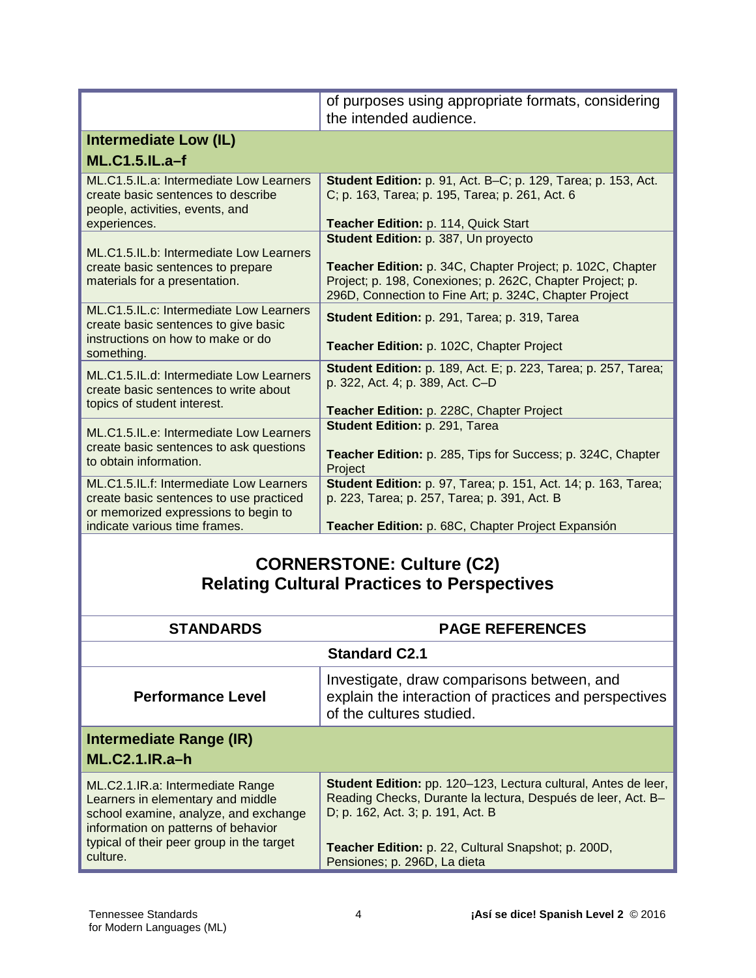|                                                                                                                      | of purposes using appropriate formats, considering<br>the intended audience.                                                                                                      |
|----------------------------------------------------------------------------------------------------------------------|-----------------------------------------------------------------------------------------------------------------------------------------------------------------------------------|
| <b>Intermediate Low (IL)</b><br><b>ML.C1.5.IL.a-f</b>                                                                |                                                                                                                                                                                   |
|                                                                                                                      |                                                                                                                                                                                   |
| ML.C1.5.IL.a: Intermediate Low Learners<br>create basic sentences to describe<br>people, activities, events, and     | <b>Student Edition:</b> p. 91, Act. B–C; p. 129, Tarea; p. 153, Act.<br>C; p. 163, Tarea; p. 195, Tarea; p. 261, Act. 6                                                           |
| experiences.                                                                                                         | Teacher Edition: p. 114, Quick Start                                                                                                                                              |
| ML.C1.5.IL.b: Intermediate Low Learners                                                                              | Student Edition: p. 387, Un proyecto                                                                                                                                              |
| create basic sentences to prepare<br>materials for a presentation.                                                   | Teacher Edition: p. 34C, Chapter Project; p. 102C, Chapter<br>Project; p. 198, Conexiones; p. 262C, Chapter Project; p.<br>296D, Connection to Fine Art; p. 324C, Chapter Project |
| ML.C1.5.IL.c: Intermediate Low Learners<br>create basic sentences to give basic<br>instructions on how to make or do | Student Edition: p. 291, Tarea; p. 319, Tarea                                                                                                                                     |
| something.                                                                                                           | Teacher Edition: p. 102C, Chapter Project                                                                                                                                         |
| ML.C1.5.IL.d: Intermediate Low Learners<br>create basic sentences to write about                                     | <b>Student Edition: p. 189, Act. E; p. 223, Tarea; p. 257, Tarea;</b><br>p. 322, Act. 4; p. 389, Act. C-D                                                                         |
| topics of student interest.                                                                                          | Teacher Edition: p. 228C, Chapter Project                                                                                                                                         |
| ML.C1.5.IL.e: Intermediate Low Learners<br>create basic sentences to ask questions<br>to obtain information.         | Student Edition: p. 291, Tarea<br><b>Teacher Edition:</b> p. 285, Tips for Success; p. 324C, Chapter                                                                              |
|                                                                                                                      | Project                                                                                                                                                                           |
| ML.C1.5.IL.f: Intermediate Low Learners<br>create basic sentences to use practiced                                   | <b>Student Edition:</b> p. 97, Tarea; p. 151, Act. 14; p. 163, Tarea;<br>p. 223, Tarea; p. 257, Tarea; p. 391, Act. B                                                             |
| or memorized expressions to begin to<br>indicate various time frames.                                                | Teacher Edition: p. 68C, Chapter Project Expansión                                                                                                                                |

#### **CORNERSTONE: Culture (C2) Relating Cultural Practices to Perspectives**

| <b>STANDARDS</b>                                                                                                                                                                                               | <b>PAGE REFERENCES</b>                                                                                                                                                                                                                                     |
|----------------------------------------------------------------------------------------------------------------------------------------------------------------------------------------------------------------|------------------------------------------------------------------------------------------------------------------------------------------------------------------------------------------------------------------------------------------------------------|
| <b>Standard C2.1</b>                                                                                                                                                                                           |                                                                                                                                                                                                                                                            |
| <b>Performance Level</b>                                                                                                                                                                                       | Investigate, draw comparisons between, and<br>explain the interaction of practices and perspectives<br>of the cultures studied.                                                                                                                            |
| Intermediate Range (IR)<br>$ML.C2.1.IR.a-h$                                                                                                                                                                    |                                                                                                                                                                                                                                                            |
| ML.C2.1.IR.a: Intermediate Range<br>Learners in elementary and middle<br>school examine, analyze, and exchange<br>information on patterns of behavior<br>typical of their peer group in the target<br>culture. | Student Edition: pp. 120-123, Lectura cultural, Antes de leer,<br>Reading Checks, Durante la lectura, Después de leer, Act. B-<br>D; p. 162, Act. 3; p. 191, Act. B<br>Teacher Edition: p. 22, Cultural Snapshot; p. 200D,<br>Pensiones; p. 296D, La dieta |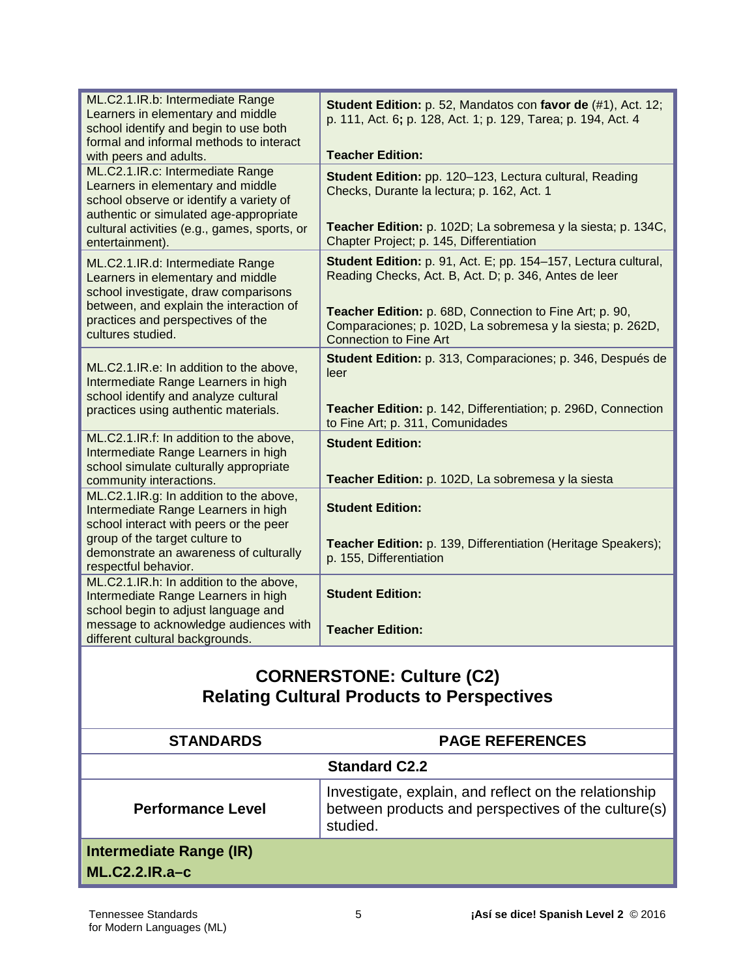| ML.C2.1.IR.b: Intermediate Range<br>Learners in elementary and middle<br>school identify and begin to use both<br>formal and informal methods to interact      | Student Edition: p. 52, Mandatos con favor de (#1), Act. 12;<br>p. 111, Act. 6; p. 128, Act. 1; p. 129, Tarea; p. 194, Act. 4                          |
|----------------------------------------------------------------------------------------------------------------------------------------------------------------|--------------------------------------------------------------------------------------------------------------------------------------------------------|
| with peers and adults.                                                                                                                                         | <b>Teacher Edition:</b>                                                                                                                                |
| ML.C2.1.IR.c: Intermediate Range<br>Learners in elementary and middle<br>school observe or identify a variety of<br>authentic or simulated age-appropriate     | Student Edition: pp. 120-123, Lectura cultural, Reading<br>Checks, Durante la lectura; p. 162, Act. 1                                                  |
| cultural activities (e.g., games, sports, or<br>entertainment).                                                                                                | Teacher Edition: p. 102D; La sobremesa y la siesta; p. 134C,<br>Chapter Project; p. 145, Differentiation                                               |
| ML.C2.1.IR.d: Intermediate Range<br>Learners in elementary and middle<br>school investigate, draw comparisons                                                  | Student Edition: p. 91, Act. E; pp. 154-157, Lectura cultural,<br>Reading Checks, Act. B, Act. D; p. 346, Antes de leer                                |
| between, and explain the interaction of<br>practices and perspectives of the<br>cultures studied.                                                              | Teacher Edition: p. 68D, Connection to Fine Art; p. 90,<br>Comparaciones; p. 102D, La sobremesa y la siesta; p. 262D,<br><b>Connection to Fine Art</b> |
| ML.C2.1.IR.e: In addition to the above,<br>Intermediate Range Learners in high<br>school identify and analyze cultural<br>practices using authentic materials. | Student Edition: p. 313, Comparaciones; p. 346, Después de<br>leer<br>Teacher Edition: p. 142, Differentiation; p. 296D, Connection                    |
| ML.C2.1.IR.f: In addition to the above,                                                                                                                        | to Fine Art; p. 311, Comunidades                                                                                                                       |
| Intermediate Range Learners in high                                                                                                                            | <b>Student Edition:</b>                                                                                                                                |
| school simulate culturally appropriate<br>community interactions.                                                                                              | Teacher Edition: p. 102D, La sobremesa y la siesta                                                                                                     |
| ML.C2.1.IR.g: In addition to the above,<br>Intermediate Range Learners in high<br>school interact with peers or the peer                                       | <b>Student Edition:</b>                                                                                                                                |
| group of the target culture to<br>demonstrate an awareness of culturally<br>respectful behavior.                                                               | Teacher Edition: p. 139, Differentiation (Heritage Speakers);<br>p. 155, Differentiation                                                               |
| ML.C2.1.IR.h: In addition to the above,<br>Intermediate Range Learners in high<br>school begin to adjust language and                                          | <b>Student Edition:</b>                                                                                                                                |
| message to acknowledge audiences with<br>different cultural backgrounds.                                                                                       | <b>Teacher Edition:</b>                                                                                                                                |
|                                                                                                                                                                |                                                                                                                                                        |

#### **CORNERSTONE: Culture (C2) Relating Cultural Products to Perspectives**

| <b>STANDARDS</b>                            | <b>PAGE REFERENCES</b>                                                                                                   |
|---------------------------------------------|--------------------------------------------------------------------------------------------------------------------------|
|                                             | <b>Standard C2.2</b>                                                                                                     |
| <b>Performance Level</b>                    | Investigate, explain, and reflect on the relationship<br>between products and perspectives of the culture(s)<br>studied. |
| Intermediate Range (IR)<br>$ML.C2.2.IR.a-c$ |                                                                                                                          |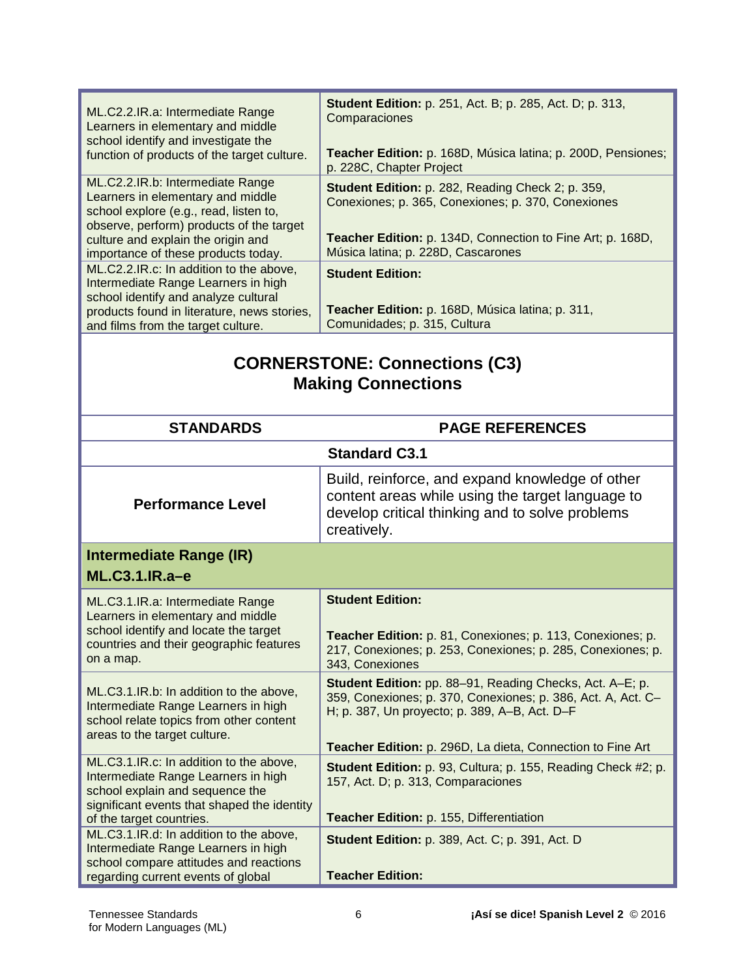| ML.C2.2.IR.a: Intermediate Range<br>Learners in elementary and middle<br>school identify and investigate the<br>function of products of the target culture.                                                                              | <b>Student Edition:</b> p. 251, Act. B; p. 285, Act. D; p. 313,<br>Comparaciones<br>Teacher Edition: p. 168D, Música latina; p. 200D, Pensiones;<br>p. 228C, Chapter Project                                              |
|------------------------------------------------------------------------------------------------------------------------------------------------------------------------------------------------------------------------------------------|---------------------------------------------------------------------------------------------------------------------------------------------------------------------------------------------------------------------------|
| ML.C2.2.IR.b: Intermediate Range<br>Learners in elementary and middle<br>school explore (e.g., read, listen to,<br>observe, perform) products of the target<br>culture and explain the origin and<br>importance of these products today. | <b>Student Edition:</b> p. 282, Reading Check 2; p. 359,<br>Conexiones; p. 365, Conexiones; p. 370, Conexiones<br><b>Teacher Edition:</b> p. 134D, Connection to Fine Art; p. 168D,<br>Música latina; p. 228D, Cascarones |
| ML.C2.2.IR.c: In addition to the above,<br>Intermediate Range Learners in high<br>school identify and analyze cultural<br>products found in literature, news stories,<br>and films from the target culture.                              | <b>Student Edition:</b><br>Teacher Edition: p. 168D, Música latina; p. 311,<br>Comunidades; p. 315, Cultura                                                                                                               |

# **CORNERSTONE: Connections (C3) Making Connections**

| <b>STANDARDS</b>                                                                                                                                                                             | <b>PAGE REFERENCES</b>                                                                                                                                                                                                                         |
|----------------------------------------------------------------------------------------------------------------------------------------------------------------------------------------------|------------------------------------------------------------------------------------------------------------------------------------------------------------------------------------------------------------------------------------------------|
|                                                                                                                                                                                              | <b>Standard C3.1</b>                                                                                                                                                                                                                           |
| <b>Performance Level</b>                                                                                                                                                                     | Build, reinforce, and expand knowledge of other<br>content areas while using the target language to<br>develop critical thinking and to solve problems<br>creatively.                                                                          |
| Intermediate Range (IR)                                                                                                                                                                      |                                                                                                                                                                                                                                                |
| $ML.C3.1.IR.a-e$                                                                                                                                                                             |                                                                                                                                                                                                                                                |
| ML.C3.1.IR.a: Intermediate Range<br>Learners in elementary and middle<br>school identify and locate the target<br>countries and their geographic features<br>on a map.                       | <b>Student Edition:</b><br>Teacher Edition: p. 81, Conexiones; p. 113, Conexiones; p.<br>217, Conexiones; p. 253, Conexiones; p. 285, Conexiones; p.<br>343, Conexiones                                                                        |
| ML.C3.1.IR.b: In addition to the above,<br>Intermediate Range Learners in high<br>school relate topics from other content<br>areas to the target culture.                                    | <b>Student Edition:</b> pp. 88-91, Reading Checks, Act. A-E; p.<br>359, Conexiones; p. 370, Conexiones; p. 386, Act. A, Act. C-<br>H; p. 387, Un proyecto; p. 389, A-B, Act. D-F<br>Teacher Edition: p. 296D, La dieta, Connection to Fine Art |
| ML.C3.1.IR.c: In addition to the above,<br>Intermediate Range Learners in high<br>school explain and sequence the<br>significant events that shaped the identity<br>of the target countries. | Student Edition: p. 93, Cultura; p. 155, Reading Check #2; p.<br>157, Act. D; p. 313, Comparaciones<br>Teacher Edition: p. 155, Differentiation                                                                                                |
| ML.C3.1.IR.d: In addition to the above,<br>Intermediate Range Learners in high<br>school compare attitudes and reactions<br>regarding current events of global                               | <b>Student Edition: p. 389, Act. C; p. 391, Act. D.</b><br><b>Teacher Edition:</b>                                                                                                                                                             |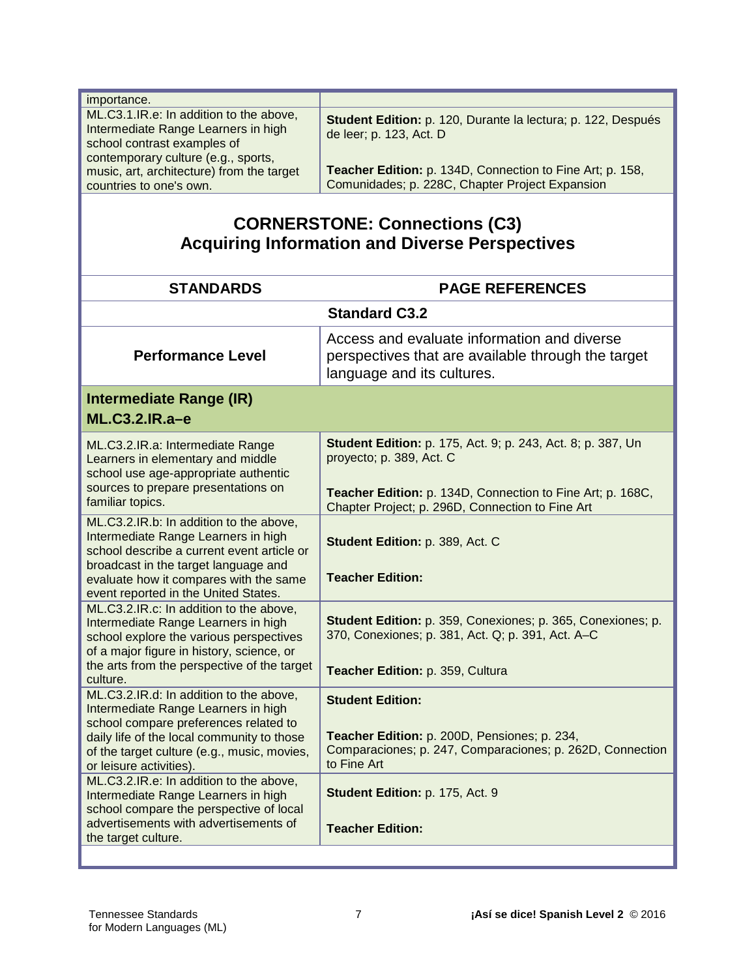| importance.                                                                                                                                          |                                                                                                              |
|------------------------------------------------------------------------------------------------------------------------------------------------------|--------------------------------------------------------------------------------------------------------------|
| ML.C3.1.IR.e: In addition to the above,<br>Intermediate Range Learners in high<br>school contrast examples of<br>contemporary culture (e.g., sports, | Student Edition: p. 120, Durante la lectura; p. 122, Después<br>de leer; p. 123, Act. D                      |
| music, art, architecture) from the target<br>countries to one's own.                                                                                 | Teacher Edition: p. 134D, Connection to Fine Art; p. 158,<br>Comunidades; p. 228C, Chapter Project Expansion |

# **CORNERSTONE: Connections (C3) Acquiring Information and Diverse Perspectives**

| <b>STANDARDS</b>                                                                                                                                                                                                                                                                                                                                                                                                                             | <b>PAGE REFERENCES</b>                                                                                                                                                                                            |
|----------------------------------------------------------------------------------------------------------------------------------------------------------------------------------------------------------------------------------------------------------------------------------------------------------------------------------------------------------------------------------------------------------------------------------------------|-------------------------------------------------------------------------------------------------------------------------------------------------------------------------------------------------------------------|
|                                                                                                                                                                                                                                                                                                                                                                                                                                              | <b>Standard C3.2</b>                                                                                                                                                                                              |
| <b>Performance Level</b>                                                                                                                                                                                                                                                                                                                                                                                                                     | Access and evaluate information and diverse<br>perspectives that are available through the target<br>language and its cultures.                                                                                   |
| <b>Intermediate Range (IR)</b><br>ML.C3.2.IR.a-e                                                                                                                                                                                                                                                                                                                                                                                             |                                                                                                                                                                                                                   |
| ML.C3.2.IR.a: Intermediate Range<br>Learners in elementary and middle<br>school use age-appropriate authentic<br>sources to prepare presentations on<br>familiar topics.                                                                                                                                                                                                                                                                     | Student Edition: p. 175, Act. 9; p. 243, Act. 8; p. 387, Un<br>proyecto; p. 389, Act. C<br>Teacher Edition: p. 134D, Connection to Fine Art; p. 168C,<br>Chapter Project; p. 296D, Connection to Fine Art         |
| ML.C3.2.IR.b: In addition to the above,<br>Intermediate Range Learners in high<br>school describe a current event article or<br>broadcast in the target language and<br>evaluate how it compares with the same<br>event reported in the United States.                                                                                                                                                                                       | Student Edition: p. 389, Act. C<br><b>Teacher Edition:</b>                                                                                                                                                        |
| ML.C3.2.IR.c: In addition to the above,<br>Intermediate Range Learners in high<br>school explore the various perspectives<br>of a major figure in history, science, or<br>the arts from the perspective of the target<br>culture.                                                                                                                                                                                                            | Student Edition: p. 359, Conexiones; p. 365, Conexiones; p.<br>370, Conexiones; p. 381, Act. Q; p. 391, Act. A-C<br>Teacher Edition: p. 359, Cultura                                                              |
| ML.C3.2.IR.d: In addition to the above,<br>Intermediate Range Learners in high<br>school compare preferences related to<br>daily life of the local community to those<br>of the target culture (e.g., music, movies,<br>or leisure activities).<br>ML.C3.2.IR.e: In addition to the above,<br>Intermediate Range Learners in high<br>school compare the perspective of local<br>advertisements with advertisements of<br>the target culture. | <b>Student Edition:</b><br>Teacher Edition: p. 200D, Pensiones; p. 234,<br>Comparaciones; p. 247, Comparaciones; p. 262D, Connection<br>to Fine Art<br>Student Edition: p. 175, Act. 9<br><b>Teacher Edition:</b> |
|                                                                                                                                                                                                                                                                                                                                                                                                                                              |                                                                                                                                                                                                                   |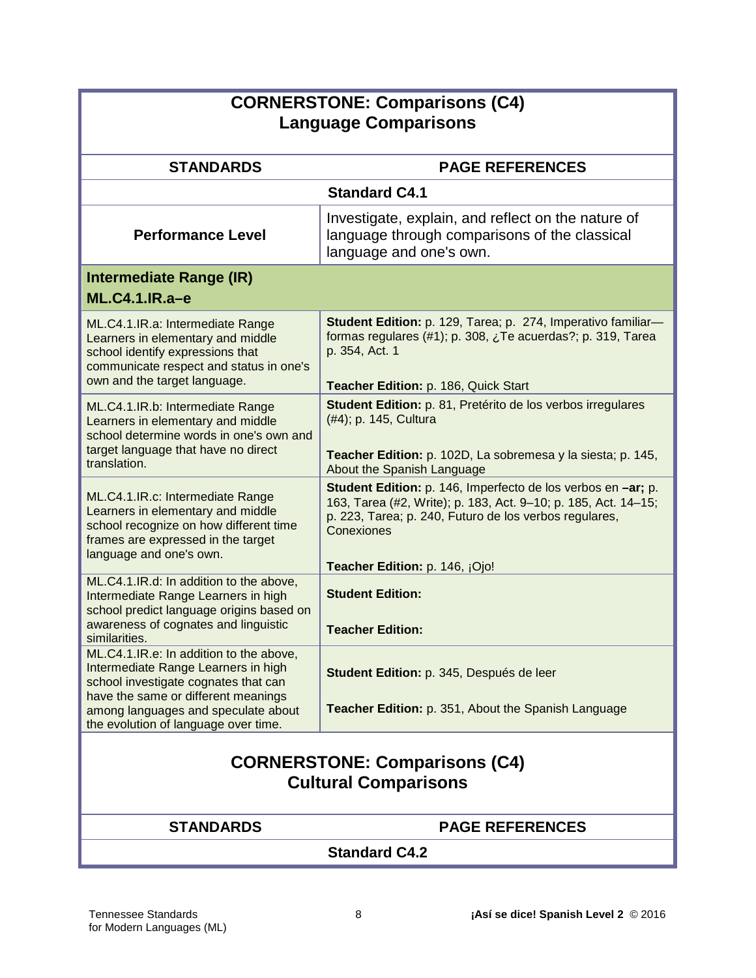| <b>CORNERSTONE: Comparisons (C4)</b><br><b>Language Comparisons</b>                                                                                                                                                                          |                                                                                                                                                                                                                                          |  |
|----------------------------------------------------------------------------------------------------------------------------------------------------------------------------------------------------------------------------------------------|------------------------------------------------------------------------------------------------------------------------------------------------------------------------------------------------------------------------------------------|--|
| <b>STANDARDS</b>                                                                                                                                                                                                                             | <b>PAGE REFERENCES</b>                                                                                                                                                                                                                   |  |
|                                                                                                                                                                                                                                              | <b>Standard C4.1</b>                                                                                                                                                                                                                     |  |
| <b>Performance Level</b>                                                                                                                                                                                                                     | Investigate, explain, and reflect on the nature of<br>language through comparisons of the classical<br>language and one's own.                                                                                                           |  |
| <b>Intermediate Range (IR)</b><br><b>ML.C4.1.IR.a-e</b>                                                                                                                                                                                      |                                                                                                                                                                                                                                          |  |
| ML.C4.1.IR.a: Intermediate Range<br>Learners in elementary and middle<br>school identify expressions that<br>communicate respect and status in one's<br>own and the target language.                                                         | Student Edition: p. 129, Tarea; p. 274, Imperativo familiar-<br>formas regulares $(#1)$ ; p. 308, $\lambda$ Te acuerdas?; p. 319, Tarea<br>p. 354, Act. 1<br>Teacher Edition: p. 186, Quick Start                                        |  |
| ML.C4.1.IR.b: Intermediate Range<br>Learners in elementary and middle<br>school determine words in one's own and<br>target language that have no direct<br>translation.                                                                      | Student Edition: p. 81, Pretérito de los verbos irregulares<br>(#4); p. 145, Cultura<br>Teacher Edition: p. 102D, La sobremesa y la siesta; p. 145,<br>About the Spanish Language                                                        |  |
| ML.C4.1.IR.c: Intermediate Range<br>Learners in elementary and middle<br>school recognize on how different time<br>frames are expressed in the target<br>language and one's own.                                                             | Student Edition: p. 146, Imperfecto de los verbos en -ar; p.<br>163, Tarea (#2, Write); p. 183, Act. 9-10; p. 185, Act. 14-15;<br>p. 223, Tarea; p. 240, Futuro de los verbos regulares,<br>Conexiones<br>Teacher Edition: p. 146, ¡Ojo! |  |
| ML.C4.1.IR.d: In addition to the above,<br>Intermediate Range Learners in high<br>school predict language origins based on<br>awareness of cognates and linguistic<br>similarities.                                                          | <b>Student Edition:</b><br><b>Teacher Edition:</b>                                                                                                                                                                                       |  |
| ML.C4.1.IR.e: In addition to the above,<br>Intermediate Range Learners in high<br>school investigate cognates that can<br>have the same or different meanings<br>among languages and speculate about<br>the evolution of language over time. | Student Edition: p. 345, Después de leer<br>Teacher Edition: p. 351, About the Spanish Language                                                                                                                                          |  |
| <b>CORNERSTONE: Comparisons (C4)</b><br><b>Cultural Comparisons</b>                                                                                                                                                                          |                                                                                                                                                                                                                                          |  |
| <b>STANDARDS</b>                                                                                                                                                                                                                             | <b>PAGE REFERENCES</b>                                                                                                                                                                                                                   |  |
| <b>Standard C4.2</b>                                                                                                                                                                                                                         |                                                                                                                                                                                                                                          |  |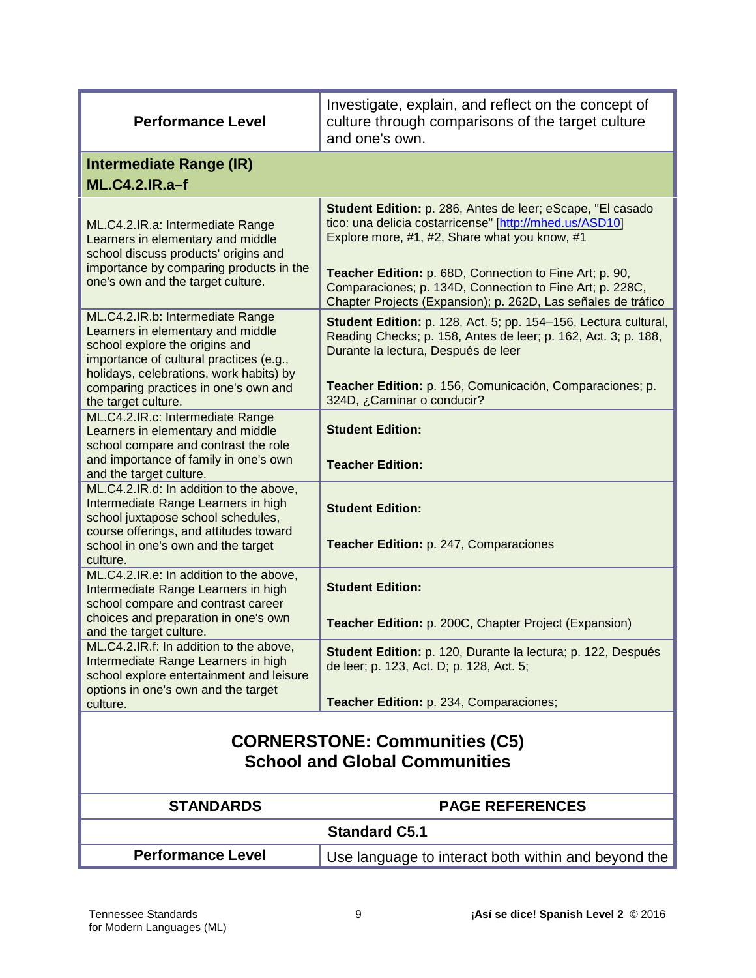| <b>Performance Level</b>                                                                                                                                                                                         | Investigate, explain, and reflect on the concept of<br>culture through comparisons of the target culture<br>and one's own.                                                                                                                                                                                                                                     |
|------------------------------------------------------------------------------------------------------------------------------------------------------------------------------------------------------------------|----------------------------------------------------------------------------------------------------------------------------------------------------------------------------------------------------------------------------------------------------------------------------------------------------------------------------------------------------------------|
| <b>Intermediate Range (IR)</b><br><b>ML.C4.2.IR.a-f</b>                                                                                                                                                          |                                                                                                                                                                                                                                                                                                                                                                |
| ML.C4.2.IR.a: Intermediate Range<br>Learners in elementary and middle<br>school discuss products' origins and<br>importance by comparing products in the<br>one's own and the target culture.                    | Student Edition: p. 286, Antes de leer; eScape, "El casado<br>tico: una delicia costarricense" [http://mhed.us/ASD10]<br>Explore more, #1, #2, Share what you know, #1<br>Teacher Edition: p. 68D, Connection to Fine Art; p. 90,<br>Comparaciones; p. 134D, Connection to Fine Art; p. 228C,<br>Chapter Projects (Expansion); p. 262D, Las señales de tráfico |
| ML.C4.2.IR.b: Intermediate Range<br>Learners in elementary and middle<br>school explore the origins and<br>importance of cultural practices (e.g.,<br>holidays, celebrations, work habits) by                    | Student Edition: p. 128, Act. 5; pp. 154-156, Lectura cultural,<br>Reading Checks; p. 158, Antes de leer; p. 162, Act. 3; p. 188,<br>Durante la lectura, Después de leer<br>Teacher Edition: p. 156, Comunicación, Comparaciones; p.                                                                                                                           |
| comparing practices in one's own and<br>the target culture.<br>ML.C4.2.IR.c: Intermediate Range<br>Learners in elementary and middle<br>school compare and contrast the role                                     | 324D, ¿Caminar o conducir?<br><b>Student Edition:</b>                                                                                                                                                                                                                                                                                                          |
| and importance of family in one's own<br>and the target culture.                                                                                                                                                 | <b>Teacher Edition:</b>                                                                                                                                                                                                                                                                                                                                        |
| ML.C4.2.IR.d: In addition to the above,<br>Intermediate Range Learners in high<br>school juxtapose school schedules,<br>course offerings, and attitudes toward<br>school in one's own and the target<br>culture. | <b>Student Edition:</b><br>Teacher Edition: p. 247, Comparaciones                                                                                                                                                                                                                                                                                              |
| ML.C4.2.IR.e: In addition to the above,<br>Intermediate Range Learners in high<br>school compare and contrast career                                                                                             | <b>Student Edition:</b>                                                                                                                                                                                                                                                                                                                                        |
| choices and preparation in one's own<br>and the target culture.                                                                                                                                                  | Teacher Edition: p. 200C, Chapter Project (Expansion)                                                                                                                                                                                                                                                                                                          |
| ML.C4.2.IR.f: In addition to the above,<br>Intermediate Range Learners in high<br>school explore entertainment and leisure<br>options in one's own and the target                                                | Student Edition: p. 120, Durante la lectura; p. 122, Después<br>de leer; p. 123, Act. D; p. 128, Act. 5;                                                                                                                                                                                                                                                       |
| culture.                                                                                                                                                                                                         | Teacher Edition: p. 234, Comparaciones;                                                                                                                                                                                                                                                                                                                        |
| <b>CORNERSTONE: Communities (C5)</b><br><b>School and Global Communities</b>                                                                                                                                     |                                                                                                                                                                                                                                                                                                                                                                |
| <b>STANDARDS</b>                                                                                                                                                                                                 | <b>PAGE REFERENCES</b>                                                                                                                                                                                                                                                                                                                                         |
| <b>Standard C5.1</b>                                                                                                                                                                                             |                                                                                                                                                                                                                                                                                                                                                                |
| <b>Performance Level</b>                                                                                                                                                                                         | Use language to interact both within and beyond the                                                                                                                                                                                                                                                                                                            |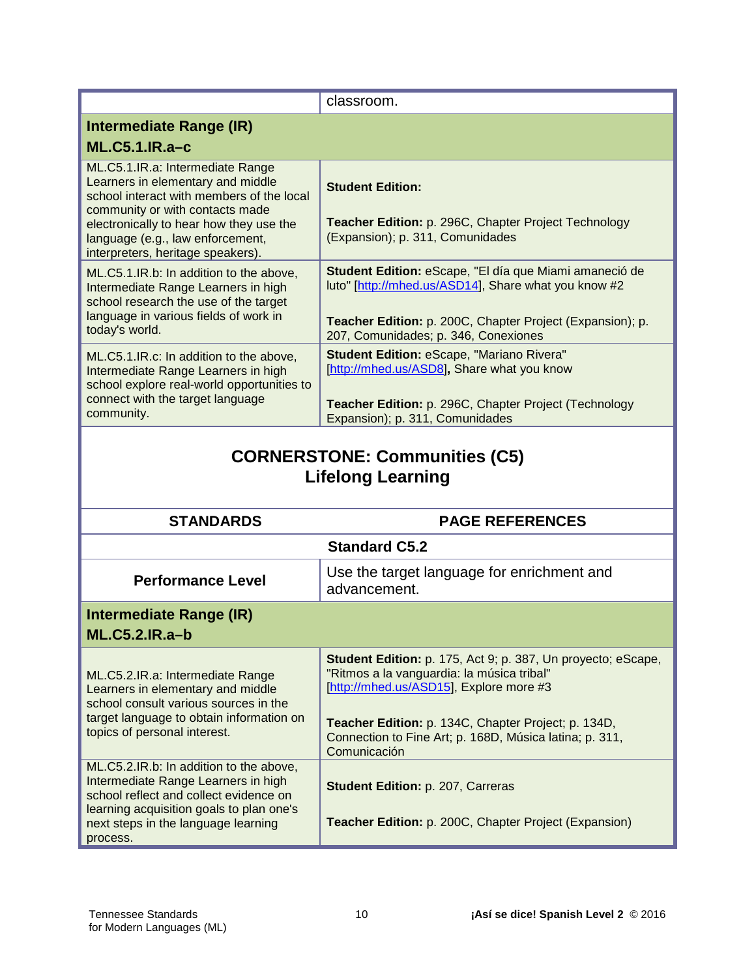|                                                                                                                                                                                                                                                                           | classroom.                                                                                                                                                                                                          |  |
|---------------------------------------------------------------------------------------------------------------------------------------------------------------------------------------------------------------------------------------------------------------------------|---------------------------------------------------------------------------------------------------------------------------------------------------------------------------------------------------------------------|--|
|                                                                                                                                                                                                                                                                           |                                                                                                                                                                                                                     |  |
| <b>Intermediate Range (IR)</b>                                                                                                                                                                                                                                            |                                                                                                                                                                                                                     |  |
| <b>ML.C5.1.IR.a-c</b>                                                                                                                                                                                                                                                     |                                                                                                                                                                                                                     |  |
| ML.C5.1.IR.a: Intermediate Range<br>Learners in elementary and middle<br>school interact with members of the local<br>community or with contacts made<br>electronically to hear how they use the<br>language (e.g., law enforcement,<br>interpreters, heritage speakers). | <b>Student Edition:</b><br>Teacher Edition: p. 296C, Chapter Project Technology<br>(Expansion); p. 311, Comunidades                                                                                                 |  |
| ML.C5.1.IR.b: In addition to the above,<br>Intermediate Range Learners in high<br>school research the use of the target<br>language in various fields of work in<br>today's world.                                                                                        | Student Edition: eScape, "El día que Miami amaneció de<br>luto" [http://mhed.us/ASD14], Share what you know #2<br>Teacher Edition: p. 200C, Chapter Project (Expansion); p.<br>207, Comunidades; p. 346, Conexiones |  |
| ML.C5.1.IR.c: In addition to the above,<br>Intermediate Range Learners in high<br>school explore real-world opportunities to<br>connect with the target language<br>community.                                                                                            | Student Edition: eScape, "Mariano Rivera"<br>[http://mhed.us/ASD8], Share what you know<br>Teacher Edition: p. 296C, Chapter Project (Technology<br>Expansion); p. 311, Comunidades                                 |  |
| <b>CORNERSTONE: Communities (C5)</b><br><b>Lifelong Learning</b>                                                                                                                                                                                                          |                                                                                                                                                                                                                     |  |
| <b>STANDARDS</b>                                                                                                                                                                                                                                                          | <b>PAGE REFERENCES</b>                                                                                                                                                                                              |  |
|                                                                                                                                                                                                                                                                           | <b>Standard C5.2</b>                                                                                                                                                                                                |  |
| <b>Performance Level</b>                                                                                                                                                                                                                                                  | Use the target language for enrichment and<br>advancement.                                                                                                                                                          |  |
| Intermediate Range (IR)<br><b>ML.C5.2.IR.a-b</b>                                                                                                                                                                                                                          |                                                                                                                                                                                                                     |  |
| ML.C5.2.IR.a: Intermediate Range<br>Learners in elementary and middle                                                                                                                                                                                                     | Student Edition: p. 175, Act 9; p. 387, Un proyecto; eScape,<br>"Ritmos a la vanguardia: la música tribal"<br>[http://mhed.us/ASD15], Explore more #3                                                               |  |
| school consult various sources in the<br>target language to obtain information on<br>topics of personal interest.<br>ML.C5.2.IR.b: In addition to the above,                                                                                                              | Teacher Edition: p. 134C, Chapter Project; p. 134D,<br>Connection to Fine Art; p. 168D, Música latina; p. 311,<br>Comunicación                                                                                      |  |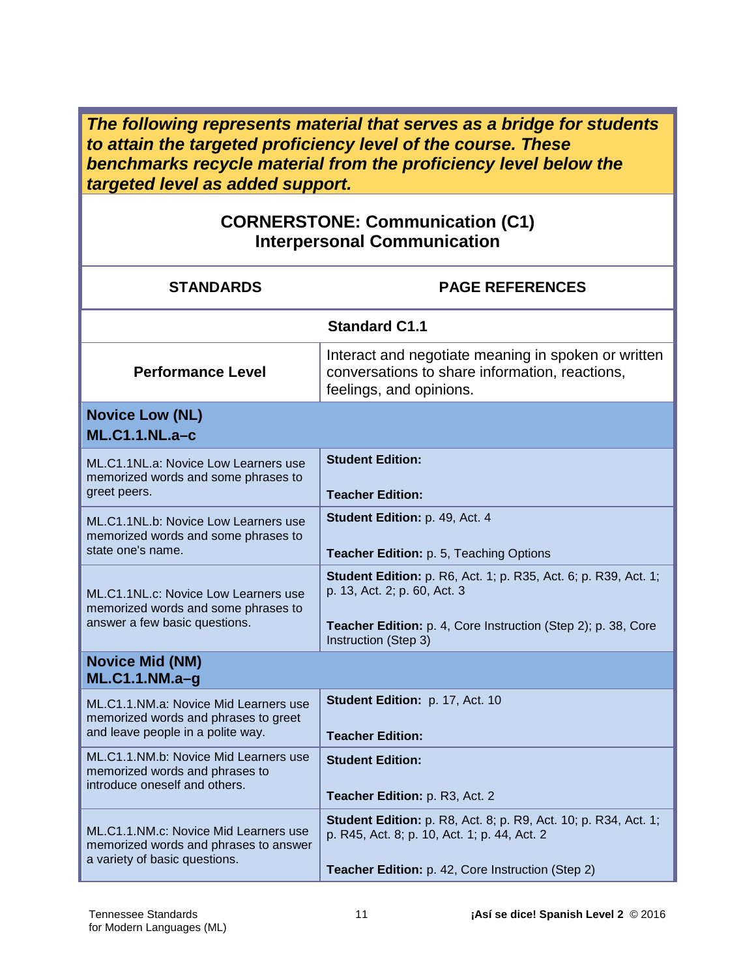*The following represents material that serves as a bridge for students to attain the targeted proficiency level of the course. These benchmarks recycle material from the proficiency level below the targeted level as added support.* 

#### **CORNERSTONE: Communication (C1) Interpersonal Communication**

| <b>STANDARDS</b>                                                                                                   | <b>PAGE REFERENCES</b>                                                                                                                                                                   |  |
|--------------------------------------------------------------------------------------------------------------------|------------------------------------------------------------------------------------------------------------------------------------------------------------------------------------------|--|
|                                                                                                                    | <b>Standard C1.1</b>                                                                                                                                                                     |  |
| <b>Performance Level</b>                                                                                           | Interact and negotiate meaning in spoken or written<br>conversations to share information, reactions,<br>feelings, and opinions.                                                         |  |
| <b>Novice Low (NL)</b><br>$ML.C1.1.NL.a-c$                                                                         |                                                                                                                                                                                          |  |
| ML.C1.1NL.a: Novice Low Learners use<br>memorized words and some phrases to<br>greet peers.                        | <b>Student Edition:</b><br><b>Teacher Edition:</b>                                                                                                                                       |  |
| ML.C1.1NL.b: Novice Low Learners use<br>memorized words and some phrases to<br>state one's name.                   | Student Edition: p. 49, Act. 4<br>Teacher Edition: p. 5, Teaching Options                                                                                                                |  |
| ML.C1.1NL.c: Novice Low Learners use<br>memorized words and some phrases to<br>answer a few basic questions.       | Student Edition: p. R6, Act. 1; p. R35, Act. 6; p. R39, Act. 1;<br>p. 13, Act. 2; p. 60, Act. 3<br>Teacher Edition: p. 4, Core Instruction (Step 2); p. 38, Core<br>Instruction (Step 3) |  |
| <b>Novice Mid (NM)</b><br>ML.C1.1.NM.a-g                                                                           |                                                                                                                                                                                          |  |
| ML.C1.1.NM.a: Novice Mid Learners use<br>memorized words and phrases to greet<br>and leave people in a polite way. | Student Edition: p. 17, Act. 10<br><b>Teacher Edition:</b>                                                                                                                               |  |
| ML.C1.1.NM.b: Novice Mid Learners use<br>memorized words and phrases to<br>introduce oneself and others.           | <b>Student Edition:</b><br>Teacher Edition: p. R3, Act. 2                                                                                                                                |  |
| ML.C1.1.NM.c: Novice Mid Learners use<br>memorized words and phrases to answer<br>a variety of basic questions.    | <b>Student Edition:</b> p. R8, Act. 8; p. R9, Act. 10; p. R34, Act. 1;<br>p. R45, Act. 8; p. 10, Act. 1; p. 44, Act. 2<br>Teacher Edition: p. 42, Core Instruction (Step 2)              |  |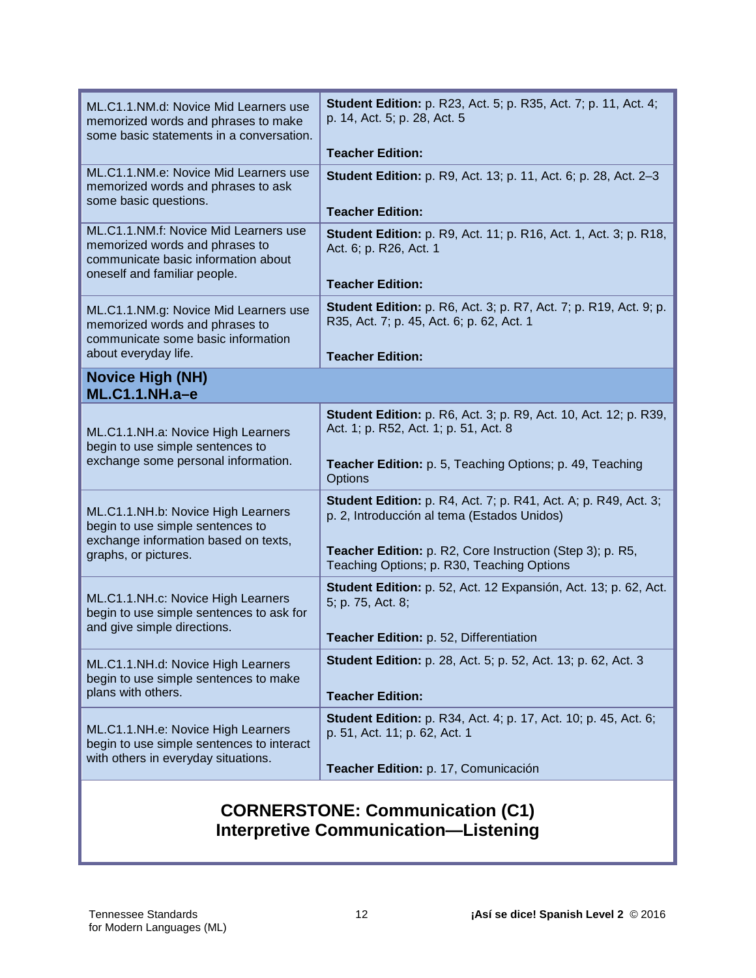| ML.C1.1.NM.d: Novice Mid Learners use<br>memorized words and phrases to make<br>some basic statements in a conversation.                       | <b>Student Edition:</b> p. R23, Act. 5; p. R35, Act. 7; p. 11, Act. 4;<br>p. 14, Act. 5; p. 28, Act. 5<br><b>Teacher Edition:</b>                                                                                                |
|------------------------------------------------------------------------------------------------------------------------------------------------|----------------------------------------------------------------------------------------------------------------------------------------------------------------------------------------------------------------------------------|
| ML.C1.1.NM.e: Novice Mid Learners use<br>memorized words and phrases to ask<br>some basic questions.                                           | <b>Student Edition:</b> p. R9, Act. 13; p. 11, Act. 6; p. 28, Act. 2-3<br><b>Teacher Edition:</b>                                                                                                                                |
| ML.C1.1.NM.f: Novice Mid Learners use<br>memorized words and phrases to<br>communicate basic information about<br>oneself and familiar people. | <b>Student Edition:</b> p. R9, Act. 11; p. R16, Act. 1, Act. 3; p. R18,<br>Act. 6; p. R26, Act. 1<br><b>Teacher Edition:</b>                                                                                                     |
| ML.C1.1.NM.g: Novice Mid Learners use<br>memorized words and phrases to<br>communicate some basic information<br>about everyday life.          | <b>Student Edition:</b> p. R6, Act. 3; p. R7, Act. 7; p. R19, Act. 9; p.<br>R35, Act. 7; p. 45, Act. 6; p. 62, Act. 1<br><b>Teacher Edition:</b>                                                                                 |
| <b>Novice High (NH)</b><br>$ML.C1.1.NH.a-e$                                                                                                    |                                                                                                                                                                                                                                  |
| ML.C1.1.NH.a: Novice High Learners<br>begin to use simple sentences to<br>exchange some personal information.                                  | <b>Student Edition:</b> p. R6, Act. 3; p. R9, Act. 10, Act. 12; p. R39,<br>Act. 1; p. R52, Act. 1; p. 51, Act. 8<br>Teacher Edition: p. 5, Teaching Options; p. 49, Teaching<br>Options                                          |
| ML.C1.1.NH.b: Novice High Learners<br>begin to use simple sentences to<br>exchange information based on texts,<br>graphs, or pictures.         | <b>Student Edition:</b> p. R4, Act. 7; p. R41, Act. A; p. R49, Act. 3;<br>p. 2, Introducción al tema (Estados Unidos)<br>Teacher Edition: p. R2, Core Instruction (Step 3); p. R5,<br>Teaching Options; p. R30, Teaching Options |
| ML.C1.1.NH.c: Novice High Learners<br>begin to use simple sentences to ask for<br>and give simple directions.                                  | Student Edition: p. 52, Act. 12 Expansión, Act. 13; p. 62, Act.<br>5; p. 75, Act. 8;<br>Teacher Edition: p. 52, Differentiation                                                                                                  |
| ML.C1.1.NH.d: Novice High Learners<br>begin to use simple sentences to make<br>plans with others.                                              | <b>Student Edition:</b> p. 28, Act. 5; p. 52, Act. 13; p. 62, Act. 3<br><b>Teacher Edition:</b>                                                                                                                                  |
| ML.C1.1.NH.e: Novice High Learners<br>begin to use simple sentences to interact<br>with others in everyday situations.                         | <b>Student Edition:</b> p. R34, Act. 4; p. 17, Act. 10; p. 45, Act. 6;<br>p. 51, Act. 11; p. 62, Act. 1<br>Teacher Edition: p. 17, Comunicación                                                                                  |
| <b>CORNERSTONE: Communication (C1)</b>                                                                                                         |                                                                                                                                                                                                                                  |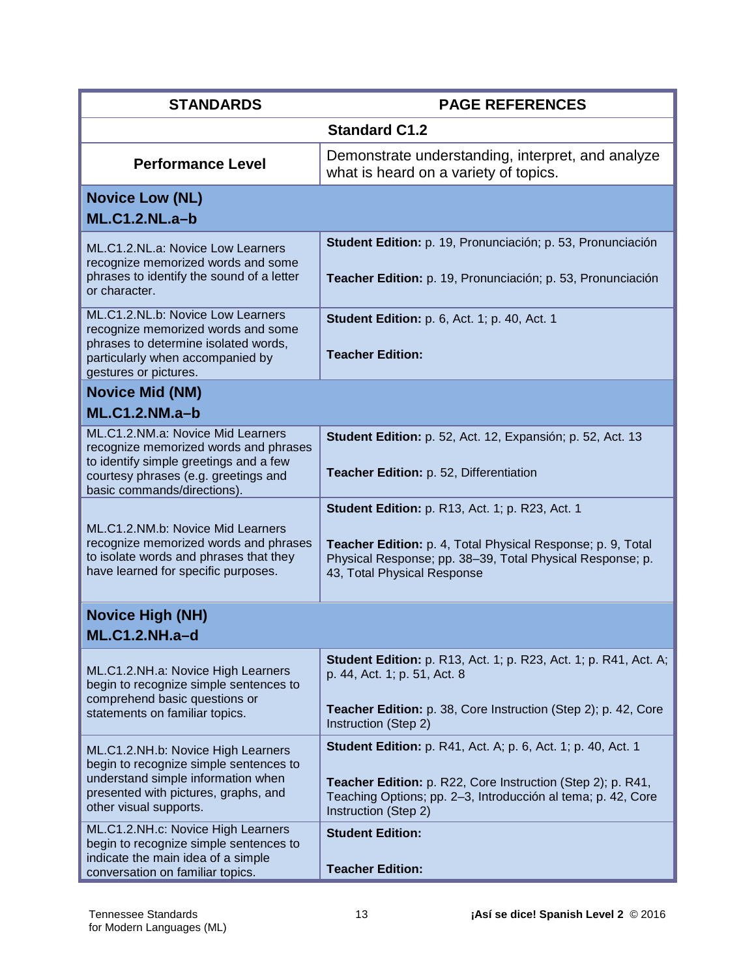| <b>STANDARDS</b>                                                                                                                                                                            | <b>PAGE REFERENCES</b>                                                                                                                                                                                                     |  |
|---------------------------------------------------------------------------------------------------------------------------------------------------------------------------------------------|----------------------------------------------------------------------------------------------------------------------------------------------------------------------------------------------------------------------------|--|
|                                                                                                                                                                                             | <b>Standard C1.2</b>                                                                                                                                                                                                       |  |
| <b>Performance Level</b>                                                                                                                                                                    | Demonstrate understanding, interpret, and analyze<br>what is heard on a variety of topics.                                                                                                                                 |  |
| <b>Novice Low (NL)</b><br><b>ML.C1.2.NL.a-b</b>                                                                                                                                             |                                                                                                                                                                                                                            |  |
| ML.C1.2.NL.a: Novice Low Learners<br>recognize memorized words and some<br>phrases to identify the sound of a letter<br>or character.                                                       | Student Edition: p. 19, Pronunciación; p. 53, Pronunciación<br>Teacher Edition: p. 19, Pronunciación; p. 53, Pronunciación                                                                                                 |  |
| ML.C1.2.NL.b: Novice Low Learners<br>recognize memorized words and some<br>phrases to determine isolated words,<br>particularly when accompanied by<br>gestures or pictures.                | <b>Student Edition: p. 6, Act. 1; p. 40, Act. 1</b><br><b>Teacher Edition:</b>                                                                                                                                             |  |
| <b>Novice Mid (NM)</b><br>$ML.C1.2.NM.a-b$                                                                                                                                                  |                                                                                                                                                                                                                            |  |
| ML.C1.2.NM.a: Novice Mid Learners<br>recognize memorized words and phrases<br>to identify simple greetings and a few<br>courtesy phrases (e.g. greetings and<br>basic commands/directions). | Student Edition: p. 52, Act. 12, Expansión; p. 52, Act. 13<br>Teacher Edition: p. 52, Differentiation                                                                                                                      |  |
| ML.C1.2.NM.b: Novice Mid Learners<br>recognize memorized words and phrases<br>to isolate words and phrases that they<br>have learned for specific purposes.                                 | <b>Student Edition: p. R13, Act. 1; p. R23, Act. 1</b><br>Teacher Edition: p. 4, Total Physical Response; p. 9, Total<br>Physical Response; pp. 38-39, Total Physical Response; p.<br>43, Total Physical Response          |  |
| <b>Novice High (NH)</b>                                                                                                                                                                     |                                                                                                                                                                                                                            |  |
| <b>ML.C1.2.NH.a-d</b>                                                                                                                                                                       |                                                                                                                                                                                                                            |  |
| ML.C1.2.NH.a: Novice High Learners<br>begin to recognize simple sentences to<br>comprehend basic questions or<br>statements on familiar topics.                                             | <b>Student Edition:</b> p. R13, Act. 1; p. R23, Act. 1; p. R41, Act. A;<br>p. 44, Act. 1; p. 51, Act. 8<br>Teacher Edition: p. 38, Core Instruction (Step 2); p. 42, Core                                                  |  |
|                                                                                                                                                                                             | Instruction (Step 2)                                                                                                                                                                                                       |  |
| ML.C1.2.NH.b: Novice High Learners<br>begin to recognize simple sentences to<br>understand simple information when<br>presented with pictures, graphs, and<br>other visual supports.        | <b>Student Edition:</b> p. R41, Act. A; p. 6, Act. 1; p. 40, Act. 1<br>Teacher Edition: p. R22, Core Instruction (Step 2); p. R41,<br>Teaching Options; pp. 2-3, Introducción al tema; p. 42, Core<br>Instruction (Step 2) |  |
| ML.C1.2.NH.c: Novice High Learners<br>begin to recognize simple sentences to<br>indicate the main idea of a simple<br>conversation on familiar topics.                                      | <b>Student Edition:</b><br><b>Teacher Edition:</b>                                                                                                                                                                         |  |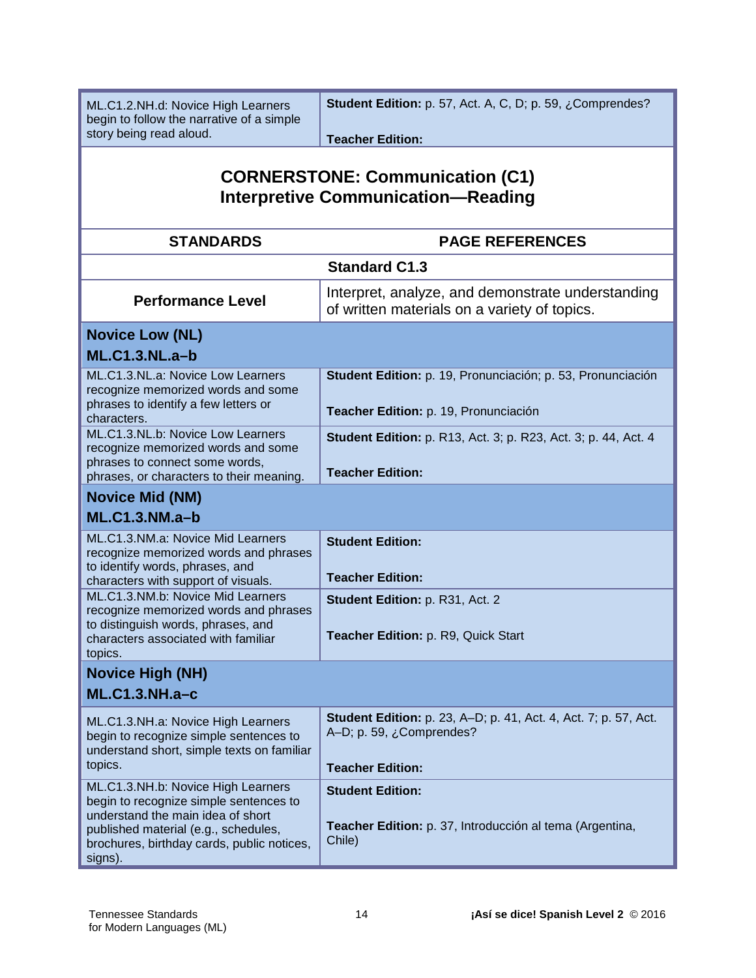ML.C1.2.NH.d: Novice High Learners begin to follow the narrative of a simple story being read aloud.

**Student Edition:** p. 57, Act. A, C, D; p. 59, ¿Comprendes?

**Teacher Edition:**

# **CORNERSTONE: Communication (C1) Interpretive Communication—Reading**

| <b>STANDARDS</b>                                                                                                                                                                                                   | <b>PAGE REFERENCES</b>                                                                                                        |  |
|--------------------------------------------------------------------------------------------------------------------------------------------------------------------------------------------------------------------|-------------------------------------------------------------------------------------------------------------------------------|--|
|                                                                                                                                                                                                                    |                                                                                                                               |  |
|                                                                                                                                                                                                                    | <b>Standard C1.3</b>                                                                                                          |  |
| <b>Performance Level</b>                                                                                                                                                                                           | Interpret, analyze, and demonstrate understanding<br>of written materials on a variety of topics.                             |  |
| <b>Novice Low (NL)</b>                                                                                                                                                                                             |                                                                                                                               |  |
| $ML.C1.3.NL.a-b$                                                                                                                                                                                                   |                                                                                                                               |  |
| ML.C1.3.NL.a: Novice Low Learners<br>recognize memorized words and some<br>phrases to identify a few letters or<br>characters.                                                                                     | Student Edition: p. 19, Pronunciación; p. 53, Pronunciación<br>Teacher Edition: p. 19, Pronunciación                          |  |
| ML.C1.3.NL.b: Novice Low Learners<br>recognize memorized words and some<br>phrases to connect some words,<br>phrases, or characters to their meaning.                                                              | Student Edition: p. R13, Act. 3; p. R23, Act. 3; p. 44, Act. 4<br><b>Teacher Edition:</b>                                     |  |
| <b>Novice Mid (NM)</b>                                                                                                                                                                                             |                                                                                                                               |  |
| $ML.C1.3.NM.a-b$                                                                                                                                                                                                   |                                                                                                                               |  |
| ML.C1.3.NM.a: Novice Mid Learners<br>recognize memorized words and phrases<br>to identify words, phrases, and<br>characters with support of visuals.                                                               | <b>Student Edition:</b><br><b>Teacher Edition:</b>                                                                            |  |
| ML.C1.3.NM.b: Novice Mid Learners<br>recognize memorized words and phrases<br>to distinguish words, phrases, and<br>characters associated with familiar                                                            | Student Edition: p. R31, Act. 2<br>Teacher Edition: p. R9, Quick Start                                                        |  |
| topics.                                                                                                                                                                                                            |                                                                                                                               |  |
| <b>Novice High (NH)</b>                                                                                                                                                                                            |                                                                                                                               |  |
| <b>ML.C1.3.NH.a-c</b>                                                                                                                                                                                              |                                                                                                                               |  |
| ML.C1.3.NH.a: Novice High Learners<br>begin to recognize simple sentences to<br>understand short, simple texts on familiar<br>topics.                                                                              | <b>Student Edition:</b> p. 23, A-D; p. 41, Act. 4, Act. 7; p. 57, Act.<br>A-D; p. 59, ¿Comprendes?<br><b>Teacher Edition:</b> |  |
| ML.C1.3.NH.b: Novice High Learners<br>begin to recognize simple sentences to<br>understand the main idea of short<br>published material (e.g., schedules,<br>brochures, birthday cards, public notices,<br>signs). | <b>Student Edition:</b><br>Teacher Edition: p. 37, Introducción al tema (Argentina,<br>Chile)                                 |  |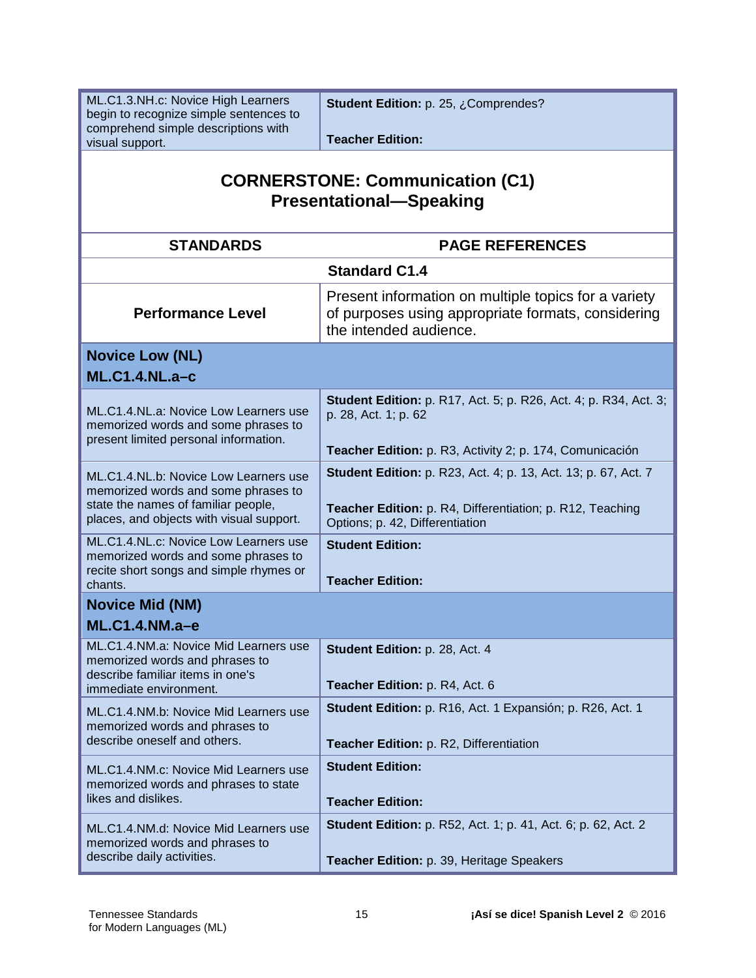ML.C1.3.NH.c: Novice High Learners begin to recognize simple sentences to comprehend simple descriptions with visual support.

**Student Edition:** p. 25, ¿Comprendes?

**Teacher Edition:** 

#### **CORNERSTONE: Communication (C1) Presentational—Speaking**

| <b>STANDARDS</b>                                                                                                                                                | <b>PAGE REFERENCES</b>                                                                                                                                                |
|-----------------------------------------------------------------------------------------------------------------------------------------------------------------|-----------------------------------------------------------------------------------------------------------------------------------------------------------------------|
|                                                                                                                                                                 | <b>Standard C1.4</b>                                                                                                                                                  |
| <b>Performance Level</b>                                                                                                                                        | Present information on multiple topics for a variety<br>of purposes using appropriate formats, considering<br>the intended audience.                                  |
| <b>Novice Low (NL)</b>                                                                                                                                          |                                                                                                                                                                       |
| <b>ML.C1.4.NL.a-c</b>                                                                                                                                           |                                                                                                                                                                       |
| ML.C1.4.NL.a: Novice Low Learners use<br>memorized words and some phrases to<br>present limited personal information.                                           | <b>Student Edition:</b> p. R17, Act. 5; p. R26, Act. 4; p. R34, Act. 3;<br>p. 28, Act. 1; p. 62<br>Teacher Edition: p. R3, Activity 2; p. 174, Comunicación           |
| ML.C1.4.NL.b: Novice Low Learners use<br>memorized words and some phrases to<br>state the names of familiar people,<br>places, and objects with visual support. | <b>Student Edition:</b> p. R23, Act. 4; p. 13, Act. 13; p. 67, Act. 7<br>Teacher Edition: p. R4, Differentiation; p. R12, Teaching<br>Options; p. 42, Differentiation |
| ML.C1.4.NL.c: Novice Low Learners use<br>memorized words and some phrases to<br>recite short songs and simple rhymes or<br>chants.                              | <b>Student Edition:</b><br><b>Teacher Edition:</b>                                                                                                                    |
| <b>Novice Mid (NM)</b>                                                                                                                                          |                                                                                                                                                                       |
| $ML.C1.4.NM.a-e$                                                                                                                                                |                                                                                                                                                                       |
| ML.C1.4.NM.a: Novice Mid Learners use<br>memorized words and phrases to<br>describe familiar items in one's<br>immediate environment.                           | Student Edition: p. 28, Act. 4<br>Teacher Edition: p. R4, Act. 6                                                                                                      |
| ML.C1.4.NM.b: Novice Mid Learners use<br>memorized words and phrases to<br>describe oneself and others.                                                         | Student Edition: p. R16, Act. 1 Expansión; p. R26, Act. 1<br>Teacher Edition: p. R2, Differentiation                                                                  |
| ML.C1.4.NM.c: Novice Mid Learners use<br>memorized words and phrases to state<br>likes and dislikes.                                                            | <b>Student Edition:</b><br><b>Teacher Edition:</b>                                                                                                                    |
| ML.C1.4.NM.d: Novice Mid Learners use<br>memorized words and phrases to<br>describe daily activities.                                                           | Student Edition: p. R52, Act. 1; p. 41, Act. 6; p. 62, Act. 2<br>Teacher Edition: p. 39, Heritage Speakers                                                            |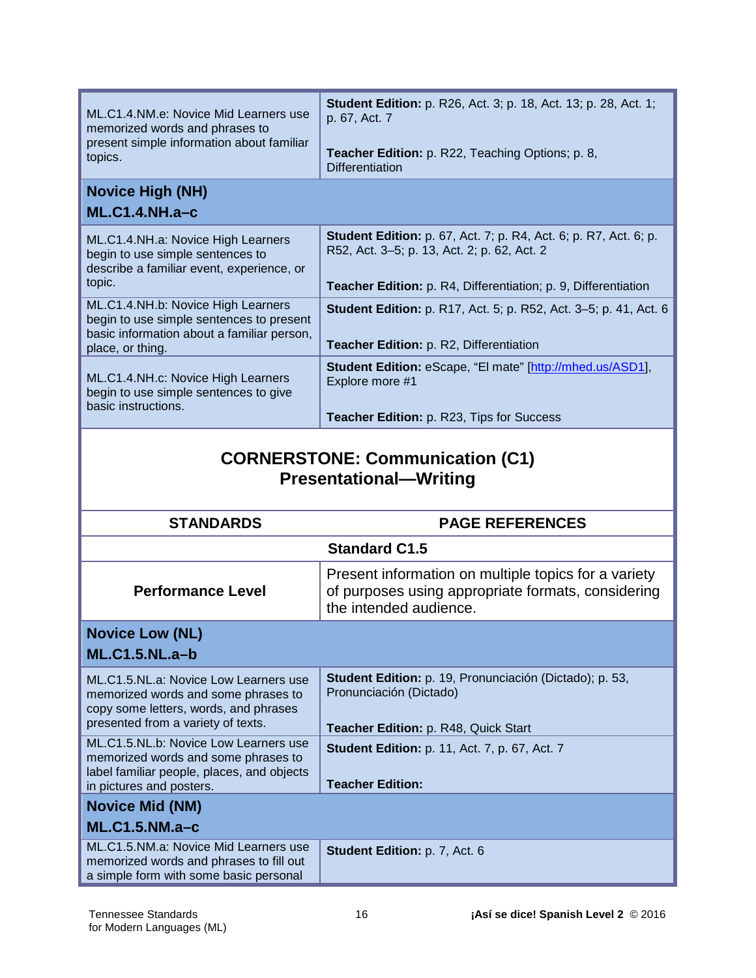| ML.C1.4.NM.e: Novice Mid Learners use<br>memorized words and phrases to<br>present simple information about familiar<br>topics.                             | <b>Student Edition:</b> p. R26, Act. 3; p. 18, Act. 13; p. 28, Act. 1;<br>p. 67, Act. 7<br>Teacher Edition: p. R22, Teaching Options; p. 8,<br><b>Differentiation</b>                           |  |
|-------------------------------------------------------------------------------------------------------------------------------------------------------------|-------------------------------------------------------------------------------------------------------------------------------------------------------------------------------------------------|--|
| <b>Novice High (NH)</b><br>$ML.C1.4.NH.a-c$                                                                                                                 |                                                                                                                                                                                                 |  |
| ML.C1.4.NH.a: Novice High Learners<br>begin to use simple sentences to<br>describe a familiar event, experience, or<br>topic.                               | <b>Student Edition:</b> p. 67, Act. 7; p. R4, Act. 6; p. R7, Act. 6; p.<br>R52, Act. 3-5; p. 13, Act. 2; p. 62, Act. 2<br><b>Teacher Edition:</b> p. R4, Differentiation; p. 9, Differentiation |  |
| ML.C1.4.NH.b: Novice High Learners<br>begin to use simple sentences to present<br>basic information about a familiar person,<br>place, or thing.            | <b>Student Edition:</b> p. R17, Act. 5; p. R52, Act. 3–5; p. 41, Act. 6<br>Teacher Edition: p. R2, Differentiation                                                                              |  |
| ML.C1.4.NH.c: Novice High Learners<br>begin to use simple sentences to give<br>basic instructions.                                                          | <b>Student Edition:</b> eScape, "El mate" [http://mhed.us/ASD1],<br>Explore more #1                                                                                                             |  |
|                                                                                                                                                             | Teacher Edition: p. R23, Tips for Success                                                                                                                                                       |  |
| <b>CORNERSTONE: Communication (C1)</b><br><b>Presentational-Writing</b>                                                                                     |                                                                                                                                                                                                 |  |
|                                                                                                                                                             |                                                                                                                                                                                                 |  |
| <b>STANDARDS</b>                                                                                                                                            | <b>PAGE REFERENCES</b>                                                                                                                                                                          |  |
| <b>Performance Level</b>                                                                                                                                    | <b>Standard C1.5</b><br>Present information on multiple topics for a variety<br>of purposes using appropriate formats, considering<br>the intended audience.                                    |  |
| <b>Novice Low (NL)</b><br><b>ML.C1.5.NL.a-b</b>                                                                                                             |                                                                                                                                                                                                 |  |
| ML.C1.5.NL.a: Novice Low Learners use<br>memorized words and some phrases to<br>copy some letters, words, and phrases<br>presented from a variety of texts. | Student Edition: p. 19, Pronunciación (Dictado); p. 53,<br>Pronunciación (Dictado)                                                                                                              |  |
| ML.C1.5.NL.b: Novice Low Learners use<br>memorized words and some phrases to<br>label familiar people, places, and objects<br>in pictures and posters.      | Teacher Edition: p. R48, Quick Start<br><b>Student Edition: p. 11, Act. 7, p. 67, Act. 7</b><br><b>Teacher Edition:</b>                                                                         |  |
| <b>Novice Mid (NM)</b><br>$ML.C1.5.NM.a-c$                                                                                                                  |                                                                                                                                                                                                 |  |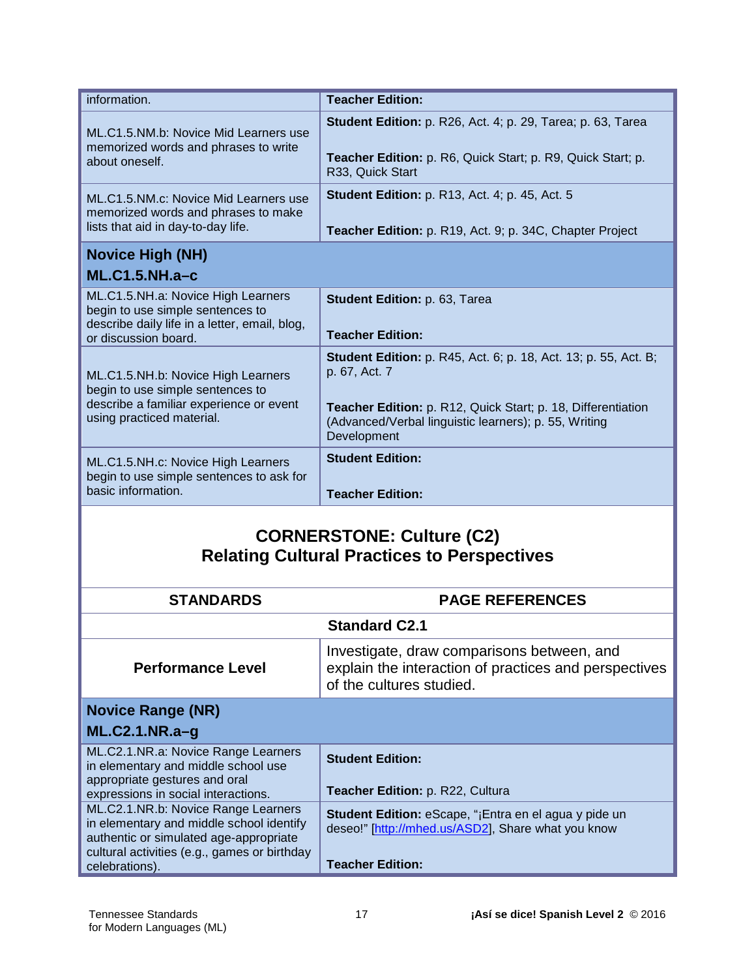| information.                                                                                                                                    | <b>Teacher Edition:</b>                                                                                                                                                                                                         |
|-------------------------------------------------------------------------------------------------------------------------------------------------|---------------------------------------------------------------------------------------------------------------------------------------------------------------------------------------------------------------------------------|
| ML.C1.5.NM.b: Novice Mid Learners use<br>memorized words and phrases to write<br>about oneself.                                                 | <b>Student Edition:</b> p. R26, Act. 4; p. 29, Tarea; p. 63, Tarea<br><b>Teacher Edition:</b> p. R6, Quick Start; p. R9, Quick Start; p.<br>R33, Quick Start                                                                    |
| ML.C1.5.NM.c: Novice Mid Learners use<br>memorized words and phrases to make<br>lists that aid in day-to-day life.                              | <b>Student Edition: p. R13, Act. 4; p. 45, Act. 5</b><br>Teacher Edition: p. R19, Act. 9; p. 34C, Chapter Project                                                                                                               |
| <b>Novice High (NH)</b><br><b>ML.C1.5.NH.a-c</b>                                                                                                |                                                                                                                                                                                                                                 |
| ML.C1.5.NH.a: Novice High Learners<br>begin to use simple sentences to<br>describe daily life in a letter, email, blog,<br>or discussion board. | Student Edition: p. 63, Tarea<br><b>Teacher Edition:</b>                                                                                                                                                                        |
| ML.C1.5.NH.b: Novice High Learners<br>begin to use simple sentences to<br>describe a familiar experience or event<br>using practiced material.  | <b>Student Edition:</b> p. R45, Act. 6; p. 18, Act. 13; p. 55, Act. B;<br>p. 67, Act. 7<br>Teacher Edition: p. R12, Quick Start; p. 18, Differentiation<br>(Advanced/Verbal linguistic learners); p. 55, Writing<br>Development |
| ML.C1.5.NH.c: Novice High Learners<br>begin to use simple sentences to ask for<br>basic information.                                            | <b>Student Edition:</b><br><b>Teacher Edition:</b>                                                                                                                                                                              |
| <b>CORNERSTONE: Culture (C2)</b>                                                                                                                |                                                                                                                                                                                                                                 |

#### **CORNERSTONE: Culture (C2) Relating Cultural Practices to Perspectives**

| <b>STANDARDS</b>                                                                                                                                                                            | <b>PAGE REFERENCES</b>                                                                                                                        |
|---------------------------------------------------------------------------------------------------------------------------------------------------------------------------------------------|-----------------------------------------------------------------------------------------------------------------------------------------------|
|                                                                                                                                                                                             | <b>Standard C2.1</b>                                                                                                                          |
| <b>Performance Level</b>                                                                                                                                                                    | Investigate, draw comparisons between, and<br>explain the interaction of practices and perspectives<br>of the cultures studied.               |
| <b>Novice Range (NR)</b><br>$ML.C2.1.NR.a-q$                                                                                                                                                |                                                                                                                                               |
| ML.C2.1.NR.a: Novice Range Learners<br>in elementary and middle school use<br>appropriate gestures and oral<br>expressions in social interactions.                                          | <b>Student Edition:</b><br><b>Teacher Edition: p. R22, Cultura</b>                                                                            |
| ML.C2.1.NR.b: Novice Range Learners<br>in elementary and middle school identify<br>authentic or simulated age-appropriate<br>cultural activities (e.g., games or birthday<br>celebrations). | <b>Student Edition:</b> eScape, "¡Entra en el agua y pide un<br>deseo!" [http://mhed.us/ASD2], Share what you know<br><b>Teacher Edition:</b> |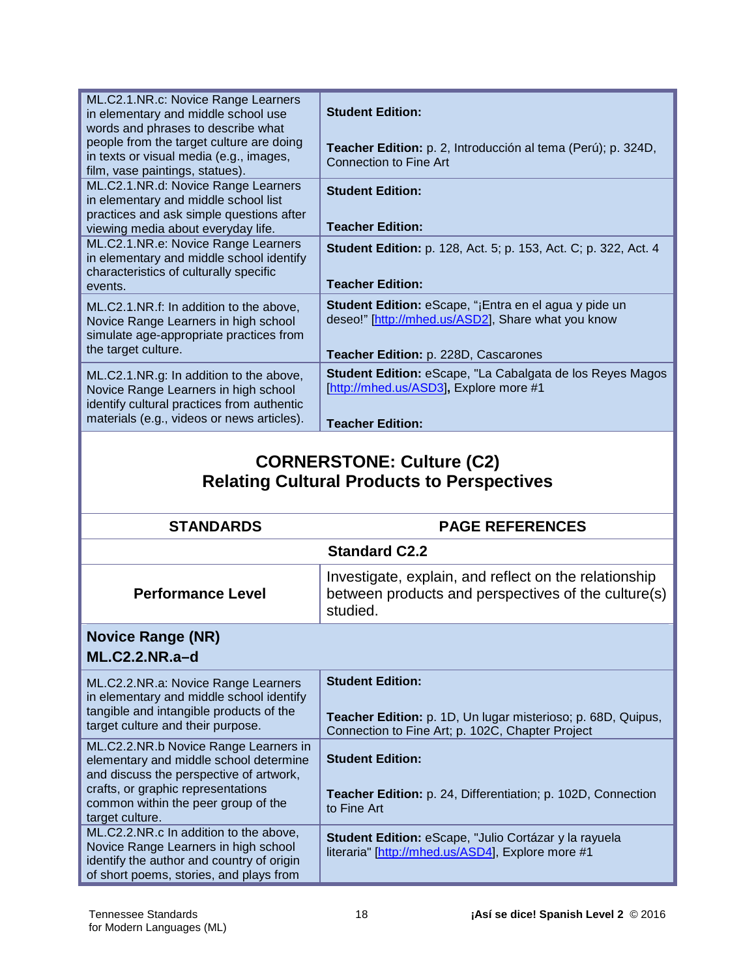| ML.C2.1.NR.c: Novice Range Learners<br>in elementary and middle school use<br>words and phrases to describe what                                                            | <b>Student Edition:</b>                                                                                                                                    |
|-----------------------------------------------------------------------------------------------------------------------------------------------------------------------------|------------------------------------------------------------------------------------------------------------------------------------------------------------|
| people from the target culture are doing<br>in texts or visual media (e.g., images,<br>film, vase paintings, statues).                                                      | Teacher Edition: p. 2, Introducción al tema (Perú); p. 324D,<br>Connection to Fine Art                                                                     |
| ML.C2.1.NR.d: Novice Range Learners<br>in elementary and middle school list<br>practices and ask simple questions after<br>viewing media about everyday life.               | <b>Student Edition:</b><br><b>Teacher Edition:</b>                                                                                                         |
| ML.C2.1.NR.e: Novice Range Learners<br>in elementary and middle school identify<br>characteristics of culturally specific<br>events.                                        | <b>Student Edition:</b> p. 128, Act. 5; p. 153, Act. C; p. 322, Act. 4<br><b>Teacher Edition:</b>                                                          |
| ML.C2.1.NR.f: In addition to the above,<br>Novice Range Learners in high school<br>simulate age-appropriate practices from<br>the target culture.                           | <b>Student Edition:</b> eScape, "¡Entra en el agua y pide un<br>deseo!" [http://mhed.us/ASD2], Share what you know<br>Teacher Edition: p. 228D, Cascarones |
| ML.C2.1.NR.g: In addition to the above,<br>Novice Range Learners in high school<br>identify cultural practices from authentic<br>materials (e.g., videos or news articles). | <b>Student Edition: eScape, "La Cabalgata de los Reyes Magos</b><br>[http://mhed.us/ASD3], Explore more #1<br><b>Teacher Edition:</b>                      |

# **CORNERSTONE: Culture (C2) Relating Cultural Products to Perspectives**

| <b>STANDARDS</b>                                                                                                                                                                                                           | <b>PAGE REFERENCES</b>                                                                                                                      |  |
|----------------------------------------------------------------------------------------------------------------------------------------------------------------------------------------------------------------------------|---------------------------------------------------------------------------------------------------------------------------------------------|--|
|                                                                                                                                                                                                                            | <b>Standard C2.2</b>                                                                                                                        |  |
| <b>Performance Level</b>                                                                                                                                                                                                   | Investigate, explain, and reflect on the relationship<br>between products and perspectives of the culture(s)<br>studied.                    |  |
| <b>Novice Range (NR)</b>                                                                                                                                                                                                   |                                                                                                                                             |  |
| $ML.C2.2.NR.a-d$                                                                                                                                                                                                           |                                                                                                                                             |  |
| ML.C2.2.NR.a: Novice Range Learners<br>in elementary and middle school identify<br>tangible and intangible products of the<br>target culture and their purpose.                                                            | <b>Student Edition:</b><br>Teacher Edition: p. 1D, Un lugar misterioso; p. 68D, Quipus,<br>Connection to Fine Art; p. 102C, Chapter Project |  |
| ML.C2.2.NR.b Novice Range Learners in<br>elementary and middle school determine<br>and discuss the perspective of artwork,<br>crafts, or graphic representations<br>common within the peer group of the<br>target culture. | <b>Student Edition:</b><br><b>Teacher Edition:</b> p. 24, Differentiation; p. 102D, Connection<br>to Fine Art                               |  |
| ML.C2.2.NR.c In addition to the above,<br>Novice Range Learners in high school<br>identify the author and country of origin<br>of short poems, stories, and plays from                                                     | Student Edition: eScape, "Julio Cortázar y la rayuela<br>literaria" [http://mhed.us/ASD4], Explore more #1                                  |  |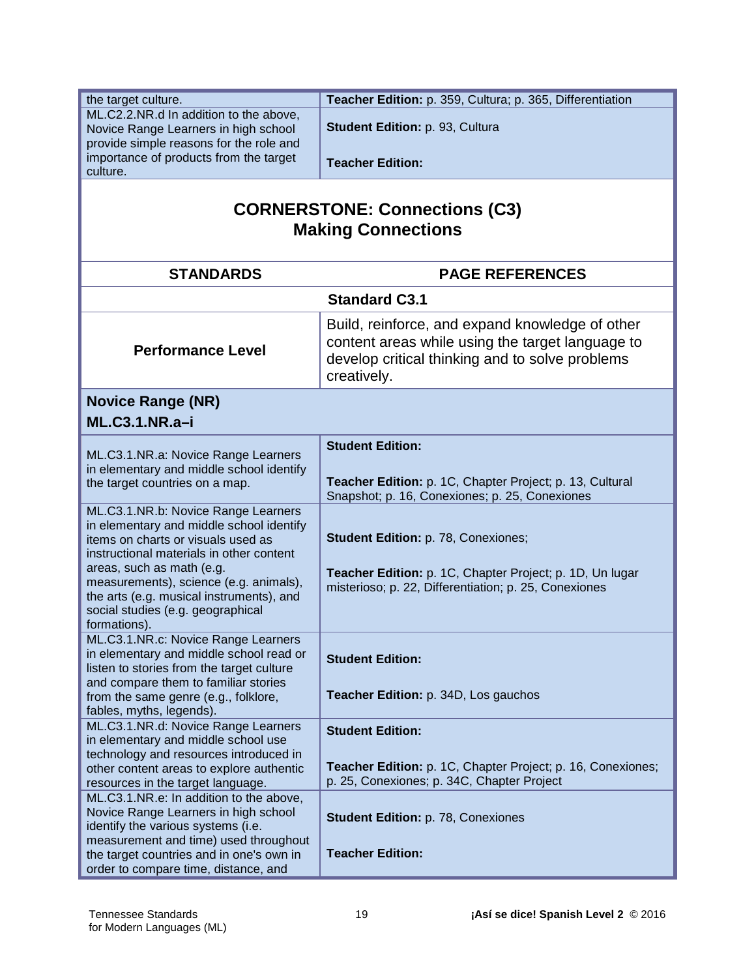| the target culture.<br>ML.C2.2.NR.d In addition to the above,              | Teacher Edition: p. 359, Cultura; p. 365, Differentiation                                                                                                             |
|----------------------------------------------------------------------------|-----------------------------------------------------------------------------------------------------------------------------------------------------------------------|
| Novice Range Learners in high school                                       | Student Edition: p. 93, Cultura                                                                                                                                       |
| provide simple reasons for the role and                                    |                                                                                                                                                                       |
| importance of products from the target                                     |                                                                                                                                                                       |
| culture.                                                                   | <b>Teacher Edition:</b>                                                                                                                                               |
|                                                                            |                                                                                                                                                                       |
| <b>CORNERSTONE: Connections (C3)</b><br><b>Making Connections</b>          |                                                                                                                                                                       |
| <b>STANDARDS</b>                                                           | <b>PAGE REFERENCES</b>                                                                                                                                                |
|                                                                            | <b>Standard C3.1</b>                                                                                                                                                  |
| <b>Performance Level</b>                                                   | Build, reinforce, and expand knowledge of other<br>content areas while using the target language to<br>develop critical thinking and to solve problems<br>creatively. |
| <b>Novice Range (NR)</b>                                                   |                                                                                                                                                                       |
| <b>ML.C3.1.NR.a-i</b>                                                      |                                                                                                                                                                       |
|                                                                            |                                                                                                                                                                       |
| ML.C3.1.NR.a: Novice Range Learners                                        | <b>Student Edition:</b>                                                                                                                                               |
| in elementary and middle school identify                                   |                                                                                                                                                                       |
| the target countries on a map.                                             | Teacher Edition: p. 1C, Chapter Project; p. 13, Cultural                                                                                                              |
|                                                                            | Snapshot; p. 16, Conexiones; p. 25, Conexiones                                                                                                                        |
| ML.C3.1.NR.b: Novice Range Learners                                        |                                                                                                                                                                       |
| in elementary and middle school identify                                   |                                                                                                                                                                       |
| items on charts or visuals used as                                         | Student Edition: p. 78, Conexiones;                                                                                                                                   |
| instructional materials in other content                                   |                                                                                                                                                                       |
| areas, such as math (e.g.<br>measurements), science (e.g. animals),        | Teacher Edition: p. 1C, Chapter Project; p. 1D, Un lugar                                                                                                              |
| the arts (e.g. musical instruments), and                                   | misterioso; p. 22, Differentiation; p. 25, Conexiones                                                                                                                 |
| social studies (e.g. geographical                                          |                                                                                                                                                                       |
| formations).                                                               |                                                                                                                                                                       |
| ML.C3.1.NR.c: Novice Range Learners                                        |                                                                                                                                                                       |
| in elementary and middle school read or                                    | <b>Student Edition:</b>                                                                                                                                               |
| listen to stories from the target culture                                  |                                                                                                                                                                       |
| and compare them to familiar stories                                       |                                                                                                                                                                       |
| from the same genre (e.g., folklore,                                       | Teacher Edition: p. 34D, Los gauchos                                                                                                                                  |
| fables, myths, legends).                                                   |                                                                                                                                                                       |
| ML.C3.1.NR.d: Novice Range Learners<br>in elementary and middle school use | <b>Student Edition:</b>                                                                                                                                               |
| technology and resources introduced in                                     |                                                                                                                                                                       |
| other content areas to explore authentic                                   | Teacher Edition: p. 1C, Chapter Project; p. 16, Conexiones;                                                                                                           |
| resources in the target language.                                          | p. 25, Conexiones; p. 34C, Chapter Project                                                                                                                            |
| ML.C3.1.NR.e: In addition to the above,                                    |                                                                                                                                                                       |
| Novice Range Learners in high school                                       | <b>Student Edition: p. 78, Conexiones</b>                                                                                                                             |
| identify the various systems (i.e.                                         |                                                                                                                                                                       |
| measurement and time) used throughout                                      |                                                                                                                                                                       |
| the target countries and in one's own in                                   | <b>Teacher Edition:</b>                                                                                                                                               |
| order to compare time, distance, and                                       |                                                                                                                                                                       |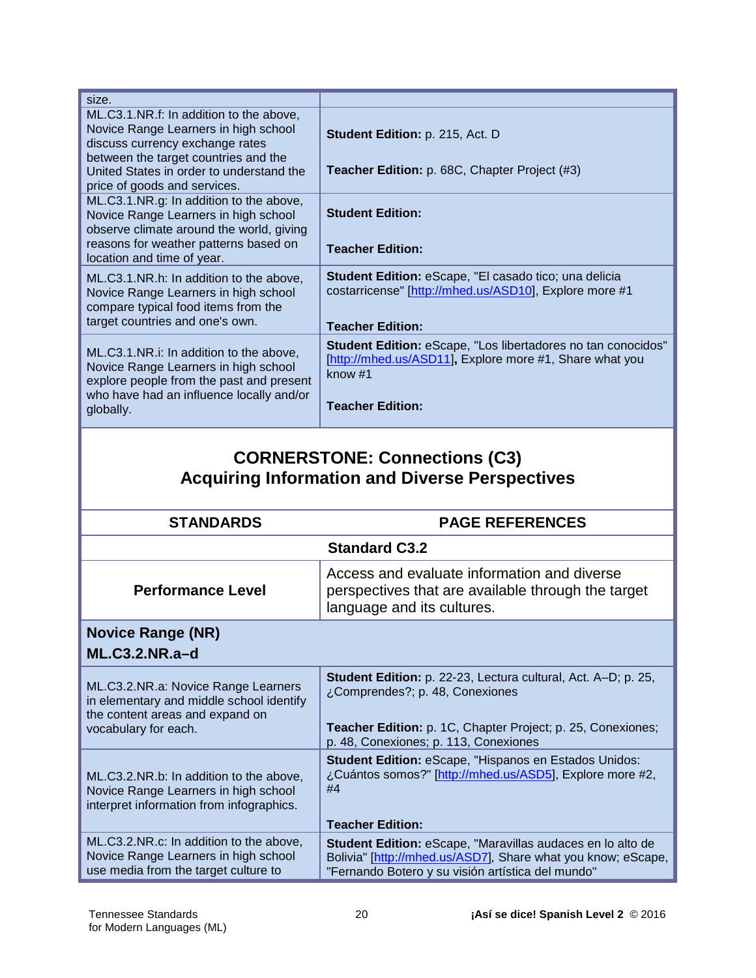| size.                                                                                                                                                                                                  |                                                                                                                                            |
|--------------------------------------------------------------------------------------------------------------------------------------------------------------------------------------------------------|--------------------------------------------------------------------------------------------------------------------------------------------|
| ML.C3.1.NR.f: In addition to the above,<br>Novice Range Learners in high school<br>discuss currency exchange rates<br>between the target countries and the<br>United States in order to understand the | <b>Student Edition: p. 215, Act. D.</b><br><b>Teacher Edition:</b> p. 68C, Chapter Project (#3)                                            |
| price of goods and services.                                                                                                                                                                           |                                                                                                                                            |
| ML.C3.1.NR.g: In addition to the above,<br>Novice Range Learners in high school<br>observe climate around the world, giving                                                                            | <b>Student Edition:</b>                                                                                                                    |
| reasons for weather patterns based on<br>location and time of year.                                                                                                                                    | <b>Teacher Edition:</b>                                                                                                                    |
| ML.C3.1.NR.h: In addition to the above,<br>Novice Range Learners in high school<br>compare typical food items from the<br>target countries and one's own.                                              | Student Edition: eScape, "El casado tico; una delicia<br>costarricense" [http://mhed.us/ASD10], Explore more #1<br><b>Teacher Edition:</b> |
| ML.C3.1.NR.i: In addition to the above,<br>Novice Range Learners in high school<br>explore people from the past and present<br>who have had an influence locally and/or                                | <b>Student Edition: eScape, "Los libertadores no tan conocidos"</b><br>[http://mhed.us/ASD11], Explore more #1, Share what you<br>know #1  |
| globally.                                                                                                                                                                                              | <b>Teacher Edition:</b>                                                                                                                    |
|                                                                                                                                                                                                        |                                                                                                                                            |

# **CORNERSTONE: Connections (C3) Acquiring Information and Diverse Perspectives**

| <b>STANDARDS</b>                                                                                                                           | <b>PAGE REFERENCES</b>                                                                                                                                                                                   |
|--------------------------------------------------------------------------------------------------------------------------------------------|----------------------------------------------------------------------------------------------------------------------------------------------------------------------------------------------------------|
| <b>Standard C3.2</b>                                                                                                                       |                                                                                                                                                                                                          |
| <b>Performance Level</b>                                                                                                                   | Access and evaluate information and diverse<br>perspectives that are available through the target<br>language and its cultures.                                                                          |
| <b>Novice Range (NR)</b>                                                                                                                   |                                                                                                                                                                                                          |
| $ML.C3.2.NR.a-d$                                                                                                                           |                                                                                                                                                                                                          |
| ML.C3.2.NR.a: Novice Range Learners<br>in elementary and middle school identify<br>the content areas and expand on<br>vocabulary for each. | Student Edition: p. 22-23, Lectura cultural, Act. A-D; p. 25,<br>¿Comprendes?; p. 48, Conexiones<br>Teacher Edition: p. 1C, Chapter Project; p. 25, Conexiones;<br>p. 48, Conexiones; p. 113, Conexiones |
| ML.C3.2.NR.b: In addition to the above,<br>Novice Range Learners in high school<br>interpret information from infographics.                | <b>Student Edition: eScape, "Hispanos en Estados Unidos:</b><br>¿Cuántos somos?" [http://mhed.us/ASD5], Explore more #2,<br>#4<br><b>Teacher Edition:</b>                                                |
| ML.C3.2.NR.c: In addition to the above,<br>Novice Range Learners in high school<br>use media from the target culture to                    | <b>Student Edition: eScape, "Maravillas audaces en lo alto de</b><br>Bolivia" [http://mhed.us/ASD7], Share what you know; eScape,<br>"Fernando Botero y su visión artística del mundo"                   |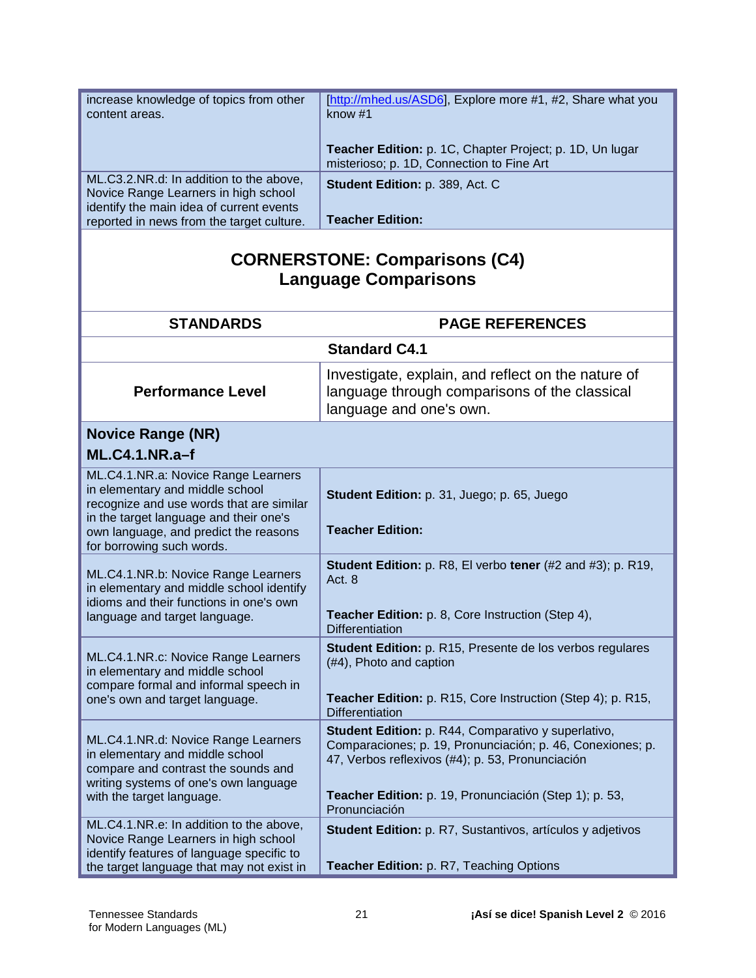| increase knowledge of topics from other<br>content areas.                                                                                                                                                                          | [http://mhed.us/ASD6], Explore more #1, #2, Share what you<br>know #1                                                                                                                                                                            |
|------------------------------------------------------------------------------------------------------------------------------------------------------------------------------------------------------------------------------------|--------------------------------------------------------------------------------------------------------------------------------------------------------------------------------------------------------------------------------------------------|
|                                                                                                                                                                                                                                    | Teacher Edition: p. 1C, Chapter Project; p. 1D, Un lugar<br>misterioso; p. 1D, Connection to Fine Art                                                                                                                                            |
| ML.C3.2.NR.d: In addition to the above,<br>Novice Range Learners in high school<br>identify the main idea of current events                                                                                                        | Student Edition: p. 389, Act. C                                                                                                                                                                                                                  |
| reported in news from the target culture.                                                                                                                                                                                          | <b>Teacher Edition:</b>                                                                                                                                                                                                                          |
| <b>CORNERSTONE: Comparisons (C4)</b><br><b>Language Comparisons</b>                                                                                                                                                                |                                                                                                                                                                                                                                                  |
| <b>STANDARDS</b>                                                                                                                                                                                                                   | <b>PAGE REFERENCES</b>                                                                                                                                                                                                                           |
|                                                                                                                                                                                                                                    | <b>Standard C4.1</b>                                                                                                                                                                                                                             |
| <b>Performance Level</b>                                                                                                                                                                                                           | Investigate, explain, and reflect on the nature of<br>language through comparisons of the classical<br>language and one's own.                                                                                                                   |
| <b>Novice Range (NR)</b>                                                                                                                                                                                                           |                                                                                                                                                                                                                                                  |
| <b>ML.C4.1.NR.a-f</b>                                                                                                                                                                                                              |                                                                                                                                                                                                                                                  |
| ML.C4.1.NR.a: Novice Range Learners<br>in elementary and middle school<br>recognize and use words that are similar<br>in the target language and their one's<br>own language, and predict the reasons<br>for borrowing such words. | Student Edition: p. 31, Juego; p. 65, Juego<br><b>Teacher Edition:</b>                                                                                                                                                                           |
| ML.C4.1.NR.b: Novice Range Learners<br>in elementary and middle school identify<br>idioms and their functions in one's own<br>language and target language.                                                                        | <b>Student Edition:</b> p. R8, El verbo tener (#2 and #3); p. R19,<br>Act. 8<br>Teacher Edition: p. 8, Core Instruction (Step 4),<br><b>Differentiation</b>                                                                                      |
| ML.C4.1.NR.c: Novice Range Learners<br>in elementary and middle school<br>compare formal and informal speech in<br>one's own and target language.                                                                                  | Student Edition: p. R15, Presente de los verbos regulares<br>(#4), Photo and caption<br>Teacher Edition: p. R15, Core Instruction (Step 4); p. R15,<br>Differentiation                                                                           |
| ML.C4.1.NR.d: Novice Range Learners<br>in elementary and middle school<br>compare and contrast the sounds and<br>writing systems of one's own language<br>with the target language.                                                | Student Edition: p. R44, Comparativo y superlativo,<br>Comparaciones; p. 19, Pronunciación; p. 46, Conexiones; p.<br>47, Verbos reflexivos (#4); p. 53, Pronunciación<br>Teacher Edition: p. 19, Pronunciación (Step 1); p. 53,<br>Pronunciación |
| ML.C4.1.NR.e: In addition to the above,<br>Novice Range Learners in high school<br>identify features of language specific to<br>the target language that may not exist in                                                          | <b>Student Edition: p. R7, Sustantivos, artículos y adjetivos</b><br>Teacher Edition: p. R7, Teaching Options                                                                                                                                    |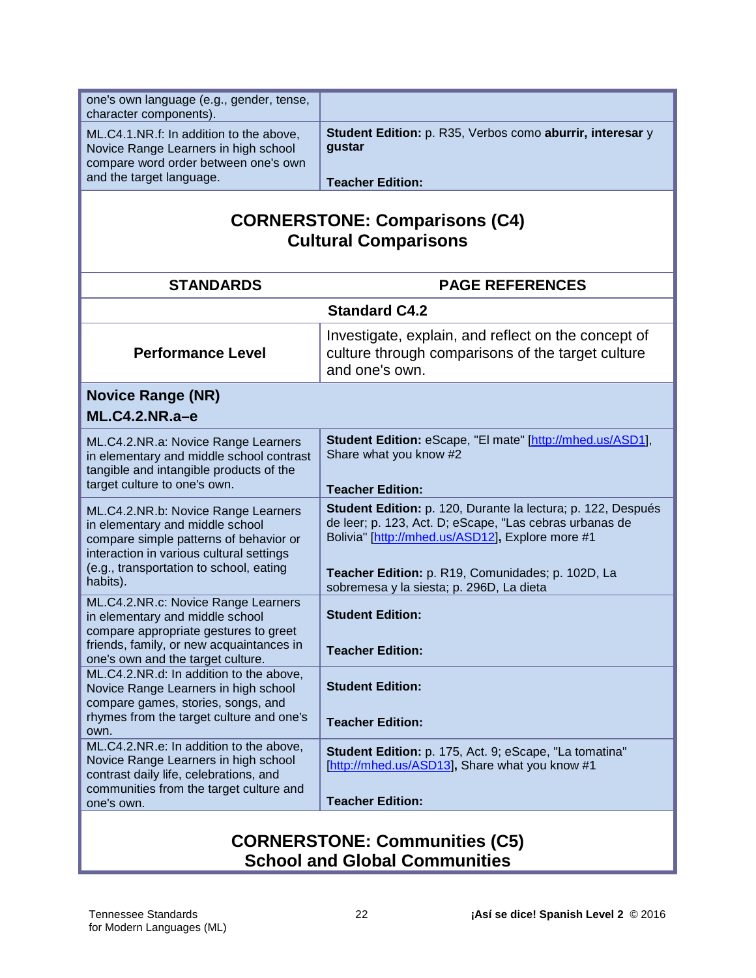| one's own language (e.g., gender, tense,<br>character components).                                                                                                                                                  |                                                                                                                                                                                                                                                                              |
|---------------------------------------------------------------------------------------------------------------------------------------------------------------------------------------------------------------------|------------------------------------------------------------------------------------------------------------------------------------------------------------------------------------------------------------------------------------------------------------------------------|
| ML.C4.1.NR.f: In addition to the above,<br>Novice Range Learners in high school<br>compare word order between one's own<br>and the target language.                                                                 | Student Edition: p. R35, Verbos como aburrir, interesar y<br>gustar                                                                                                                                                                                                          |
|                                                                                                                                                                                                                     | <b>Teacher Edition:</b>                                                                                                                                                                                                                                                      |
| <b>CORNERSTONE: Comparisons (C4)</b><br><b>Cultural Comparisons</b>                                                                                                                                                 |                                                                                                                                                                                                                                                                              |
| <b>STANDARDS</b>                                                                                                                                                                                                    | <b>PAGE REFERENCES</b>                                                                                                                                                                                                                                                       |
|                                                                                                                                                                                                                     | <b>Standard C4.2</b>                                                                                                                                                                                                                                                         |
| <b>Performance Level</b>                                                                                                                                                                                            | Investigate, explain, and reflect on the concept of<br>culture through comparisons of the target culture<br>and one's own.                                                                                                                                                   |
| <b>Novice Range (NR)</b>                                                                                                                                                                                            |                                                                                                                                                                                                                                                                              |
| $ML.C4.2.NR.a-e$                                                                                                                                                                                                    |                                                                                                                                                                                                                                                                              |
| ML.C4.2.NR.a: Novice Range Learners<br>in elementary and middle school contrast<br>tangible and intangible products of the<br>target culture to one's own.                                                          | Student Edition: eScape, "El mate" [http://mhed.us/ASD1],<br>Share what you know #2<br><b>Teacher Edition:</b>                                                                                                                                                               |
| ML.C4.2.NR.b: Novice Range Learners<br>in elementary and middle school<br>compare simple patterns of behavior or<br>interaction in various cultural settings<br>(e.g., transportation to school, eating<br>habits). | Student Edition: p. 120, Durante la lectura; p. 122, Después<br>de leer; p. 123, Act. D; eScape, "Las cebras urbanas de<br>Bolivia" [http://mhed.us/ASD12], Explore more #1<br>Teacher Edition: p. R19, Comunidades; p. 102D, La<br>sobremesa y la siesta; p. 296D, La dieta |
| ML.C4.2.NR.c: Novice Range Learners<br>in elementary and middle school<br>compare appropriate gestures to greet<br>friends, family, or new acquaintances in                                                         | <b>Student Edition:</b><br><b>Teacher Edition:</b>                                                                                                                                                                                                                           |
| one's own and the target culture.<br>ML.C4.2.NR.d: In addition to the above,<br>Novice Range Learners in high school<br>compare games, stories, songs, and                                                          | <b>Student Edition:</b>                                                                                                                                                                                                                                                      |
| rhymes from the target culture and one's<br>own.                                                                                                                                                                    | <b>Teacher Edition:</b>                                                                                                                                                                                                                                                      |
| ML.C4.2.NR.e: In addition to the above,<br>Novice Range Learners in high school<br>contrast daily life, celebrations, and<br>communities from the target culture and<br>one's own.                                  | <b>Student Edition:</b> p. 175, Act. 9; eScape, "La tomatina"<br>[http://mhed.us/ASD13], Share what you know #1<br><b>Teacher Edition:</b>                                                                                                                                   |
| CODNEDCTONE . Communition (CE)                                                                                                                                                                                      |                                                                                                                                                                                                                                                                              |

#### **CORNERSTONE: Communities (C5) School and Global Communities**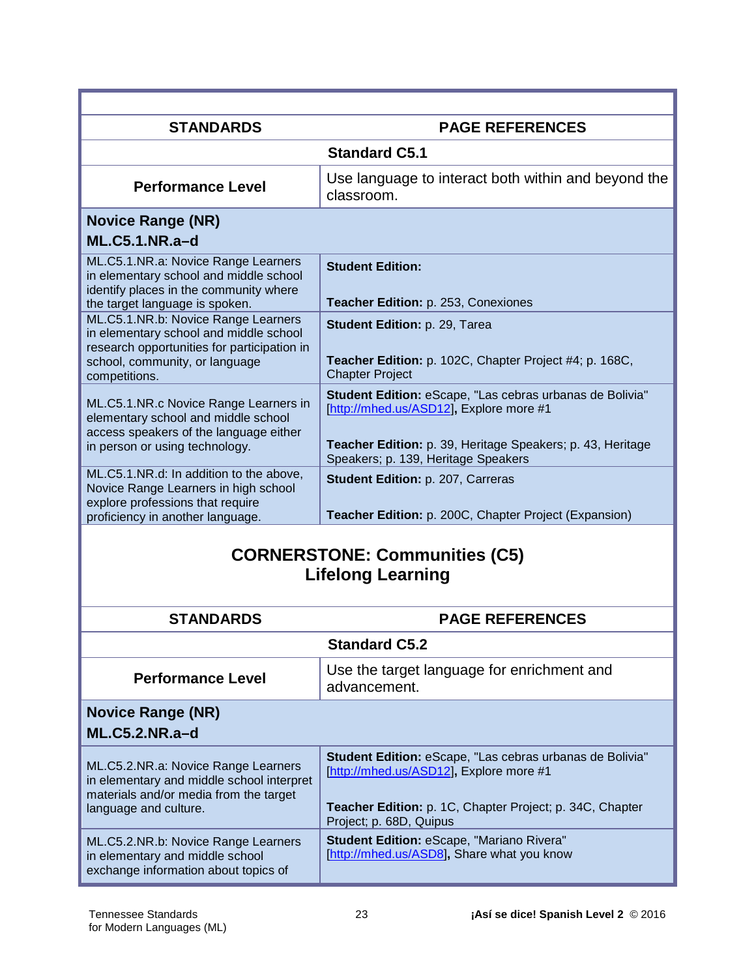| <b>STANDARDS</b>                                                                                                                                          | <b>PAGE REFERENCES</b>                                                                                                                                                                     |  |
|-----------------------------------------------------------------------------------------------------------------------------------------------------------|--------------------------------------------------------------------------------------------------------------------------------------------------------------------------------------------|--|
|                                                                                                                                                           | <b>Standard C5.1</b>                                                                                                                                                                       |  |
| <b>Performance Level</b>                                                                                                                                  | Use language to interact both within and beyond the<br>classroom.                                                                                                                          |  |
| <b>Novice Range (NR)</b>                                                                                                                                  |                                                                                                                                                                                            |  |
| <b>ML.C5.1.NR.a-d</b>                                                                                                                                     |                                                                                                                                                                                            |  |
| ML.C5.1.NR.a: Novice Range Learners<br>in elementary school and middle school<br>identify places in the community where<br>the target language is spoken. | <b>Student Edition:</b><br>Teacher Edition: p. 253, Conexiones                                                                                                                             |  |
| ML.C5.1.NR.b: Novice Range Learners<br>in elementary school and middle school<br>research opportunities for participation in                              | Student Edition: p. 29, Tarea                                                                                                                                                              |  |
| school, community, or language<br>competitions.                                                                                                           | Teacher Edition: p. 102C, Chapter Project #4; p. 168C,<br><b>Chapter Project</b>                                                                                                           |  |
| ML.C5.1.NR.c Novice Range Learners in<br>elementary school and middle school<br>access speakers of the language either                                    | Student Edition: eScape, "Las cebras urbanas de Bolivia"<br>[http://mhed.us/ASD12], Explore more #1                                                                                        |  |
| in person or using technology.                                                                                                                            | Teacher Edition: p. 39, Heritage Speakers; p. 43, Heritage<br>Speakers; p. 139, Heritage Speakers                                                                                          |  |
| ML.C5.1.NR.d: In addition to the above,<br>Novice Range Learners in high school<br>explore professions that require                                       | Student Edition: p. 207, Carreras                                                                                                                                                          |  |
| proficiency in another language.                                                                                                                          | Teacher Edition: p. 200C, Chapter Project (Expansion)                                                                                                                                      |  |
| <b>CORNERSTONE: Communities (C5)</b><br><b>Lifelong Learning</b>                                                                                          |                                                                                                                                                                                            |  |
| <b>STANDARDS</b>                                                                                                                                          | <b>PAGE REFERENCES</b>                                                                                                                                                                     |  |
|                                                                                                                                                           | <b>Standard C5.2</b>                                                                                                                                                                       |  |
| <b>Performance Level</b>                                                                                                                                  | Use the target language for enrichment and<br>advancement.                                                                                                                                 |  |
| <b>Novice Range (NR)</b><br><b>ML.C5.2.NR.a-d</b>                                                                                                         |                                                                                                                                                                                            |  |
| ML.C5.2.NR.a: Novice Range Learners<br>in elementary and middle school interpret<br>materials and/or media from the target<br>language and culture.       | Student Edition: eScape, "Las cebras urbanas de Bolivia"<br>[http://mhed.us/ASD12], Explore more #1<br>Teacher Edition: p. 1C, Chapter Project; p. 34C, Chapter<br>Project; p. 68D, Quipus |  |
| ML.C5.2.NR.b: Novice Range Learners<br>in elementary and middle school<br>exchange information about topics of                                            | Student Edition: eScape, "Mariano Rivera"<br>[http://mhed.us/ASD8], Share what you know                                                                                                    |  |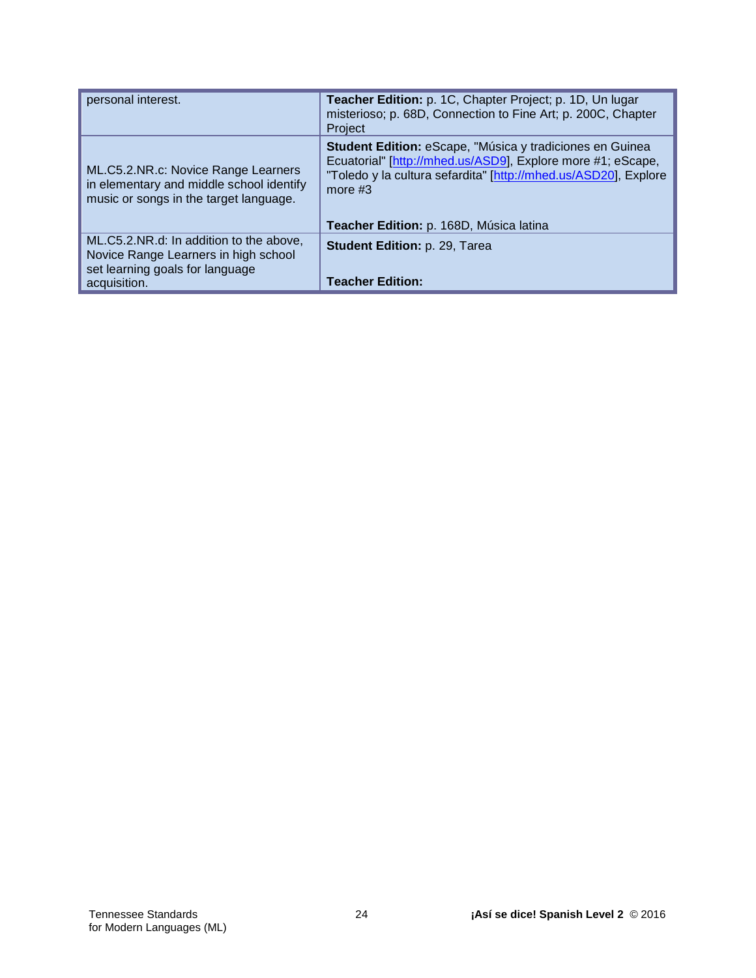| personal interest.                                                                                                                 | Teacher Edition: p. 1C, Chapter Project; p. 1D, Un lugar<br>misterioso; p. 68D, Connection to Fine Art; p. 200C, Chapter<br>Project                                                                                                                |
|------------------------------------------------------------------------------------------------------------------------------------|----------------------------------------------------------------------------------------------------------------------------------------------------------------------------------------------------------------------------------------------------|
| ML.C5.2.NR.c: Novice Range Learners<br>in elementary and middle school identify<br>music or songs in the target language.          | Student Edition: eScape, "Música y tradiciones en Guinea<br>Ecuatorial" [http://mhed.us/ASD9], Explore more #1; eScape,<br>"Toledo y la cultura sefardita" [http://mhed.us/ASD20], Explore<br>more $#3$<br>Teacher Edition: p. 168D, Música latina |
| ML.C5.2.NR.d: In addition to the above,<br>Novice Range Learners in high school<br>set learning goals for language<br>acquisition. | Student Edition: p. 29, Tarea<br><b>Teacher Edition:</b>                                                                                                                                                                                           |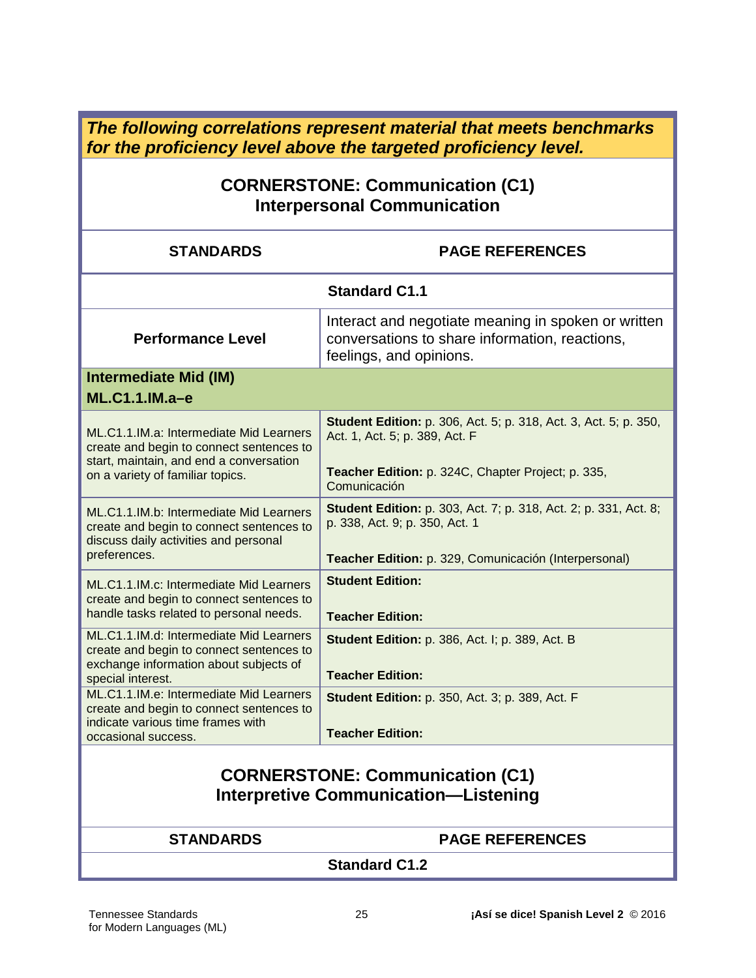*The following correlations represent material that meets benchmarks for the proficiency level above the targeted proficiency level.*

# **CORNERSTONE: Communication (C1) Interpersonal Communication**

| <b>STANDARDS</b>                                                                                                                                                   | <b>PAGE REFERENCES</b>                                                                                                                                                          |
|--------------------------------------------------------------------------------------------------------------------------------------------------------------------|---------------------------------------------------------------------------------------------------------------------------------------------------------------------------------|
| <b>Standard C1.1</b>                                                                                                                                               |                                                                                                                                                                                 |
| <b>Performance Level</b>                                                                                                                                           | Interact and negotiate meaning in spoken or written<br>conversations to share information, reactions,<br>feelings, and opinions.                                                |
| <b>Intermediate Mid (IM)</b><br>ML.C1.1.IM.a-e                                                                                                                     |                                                                                                                                                                                 |
| ML.C1.1.IM.a: Intermediate Mid Learners<br>create and begin to connect sentences to<br>start, maintain, and end a conversation<br>on a variety of familiar topics. | <b>Student Edition:</b> p. 306, Act. 5; p. 318, Act. 3, Act. 5; p. 350,<br>Act. 1, Act. 5; p. 389, Act. F<br>Teacher Edition: p. 324C, Chapter Project; p. 335,<br>Comunicación |
| ML.C1.1.IM.b: Intermediate Mid Learners<br>create and begin to connect sentences to<br>discuss daily activities and personal<br>preferences.                       | <b>Student Edition:</b> p. 303, Act. 7; p. 318, Act. 2; p. 331, Act. 8;<br>p. 338, Act. 9; p. 350, Act. 1<br>Teacher Edition: p. 329, Comunicación (Interpersonal)              |
| ML.C1.1.IM.c: Intermediate Mid Learners<br>create and begin to connect sentences to<br>handle tasks related to personal needs.                                     | <b>Student Edition:</b><br><b>Teacher Edition:</b>                                                                                                                              |
| ML.C1.1.IM.d: Intermediate Mid Learners<br>create and begin to connect sentences to<br>exchange information about subjects of<br>special interest.                 | Student Edition: p. 386, Act. I; p. 389, Act. B<br><b>Teacher Edition:</b>                                                                                                      |
| ML.C1.1.IM.e: Intermediate Mid Learners<br>create and begin to connect sentences to<br>indicate various time frames with<br>occasional success.                    | <b>Student Edition: p. 350, Act. 3; p. 389, Act. F</b><br><b>Teacher Edition:</b>                                                                                               |
| <b>CORNERSTONE: Communication (C1)</b><br><b>Interpretive Communication-Listening</b>                                                                              |                                                                                                                                                                                 |
| <b>STANDARDS</b>                                                                                                                                                   | <b>PAGE REFERENCES</b>                                                                                                                                                          |

**Standard C1.2**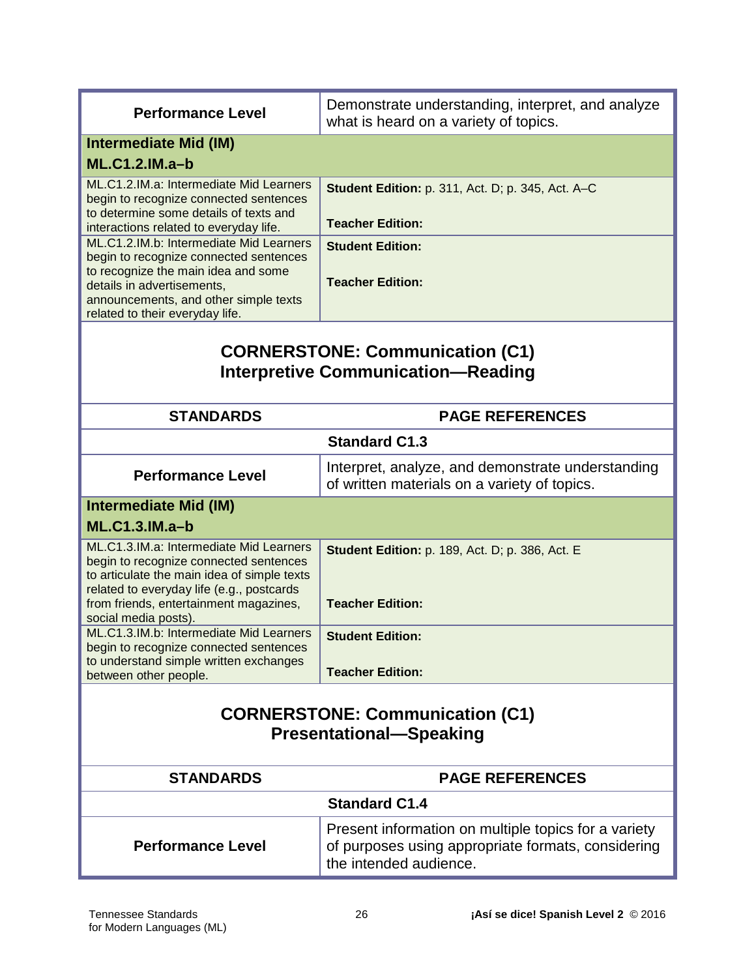| <b>Performance Level</b>                                                                 | Demonstrate understanding, interpret, and analyze<br>what is heard on a variety of topics.        |
|------------------------------------------------------------------------------------------|---------------------------------------------------------------------------------------------------|
| <b>Intermediate Mid (IM)</b>                                                             |                                                                                                   |
| <b>ML.C1.2.IM.a-b</b>                                                                    |                                                                                                   |
| ML.C1.2.IM.a: Intermediate Mid Learners                                                  | Student Edition: p. 311, Act. D; p. 345, Act. A-C                                                 |
| begin to recognize connected sentences<br>to determine some details of texts and         |                                                                                                   |
| interactions related to everyday life.                                                   | <b>Teacher Edition:</b>                                                                           |
| ML.C1.2.IM.b: Intermediate Mid Learners                                                  | <b>Student Edition:</b>                                                                           |
| begin to recognize connected sentences                                                   |                                                                                                   |
| to recognize the main idea and some                                                      | <b>Teacher Edition:</b>                                                                           |
| details in advertisements,<br>announcements, and other simple texts                      |                                                                                                   |
| related to their everyday life.                                                          |                                                                                                   |
| <b>CORNERSTONE: Communication (C1)</b><br><b>Interpretive Communication-Reading</b>      |                                                                                                   |
| <b>STANDARDS</b>                                                                         | <b>PAGE REFERENCES</b>                                                                            |
| <b>Standard C1.3</b>                                                                     |                                                                                                   |
| <b>Performance Level</b>                                                                 | Interpret, analyze, and demonstrate understanding<br>of written materials on a variety of topics. |
| <b>Intermediate Mid (IM)</b>                                                             |                                                                                                   |
| $ML.C1.3.IM.a-b$                                                                         |                                                                                                   |
| ML.C1.3.IM.a: Intermediate Mid Learners                                                  | <b>Student Edition: p. 189, Act. D; p. 386, Act. E</b>                                            |
| begin to recognize connected sentences                                                   |                                                                                                   |
| to articulate the main idea of simple texts<br>related to everyday life (e.g., postcards |                                                                                                   |
| from friends, entertainment magazines,                                                   | <b>Teacher Edition:</b>                                                                           |
| social media posts).                                                                     |                                                                                                   |
| ML.C1.3.IM.b: Intermediate Mid Learners                                                  | <b>Student Edition:</b>                                                                           |
| begin to recognize connected sentences<br>to understand simple written exchanges         |                                                                                                   |
| between other people.                                                                    | <b>Teacher Edition:</b>                                                                           |
|                                                                                          |                                                                                                   |
| <b>CORNERSTONE: Communication (C1)</b>                                                   |                                                                                                   |
|                                                                                          |                                                                                                   |
| <b>Presentational-Speaking</b>                                                           |                                                                                                   |
| <b>STANDARDS</b>                                                                         | <b>PAGE REFERENCES</b>                                                                            |
| <b>Standard C1.4</b>                                                                     |                                                                                                   |
|                                                                                          | Present information on multiple topics for a variety                                              |
| <b>Performance Level</b>                                                                 | of purposes using appropriate formats, considering                                                |
|                                                                                          | the intended audience.                                                                            |
|                                                                                          |                                                                                                   |